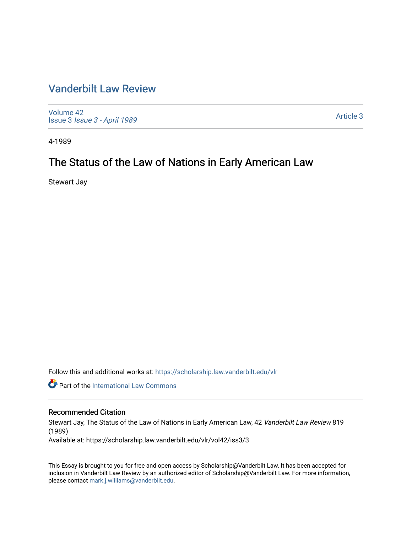### [Vanderbilt Law Review](https://scholarship.law.vanderbilt.edu/vlr)

[Volume 42](https://scholarship.law.vanderbilt.edu/vlr/vol42) Issue 3 [Issue 3 - April 1989](https://scholarship.law.vanderbilt.edu/vlr/vol42/iss3)

[Article 3](https://scholarship.law.vanderbilt.edu/vlr/vol42/iss3/3) 

4-1989

## The Status of the Law of Nations in Early American Law

Stewart Jay

Follow this and additional works at: [https://scholarship.law.vanderbilt.edu/vlr](https://scholarship.law.vanderbilt.edu/vlr?utm_source=scholarship.law.vanderbilt.edu%2Fvlr%2Fvol42%2Fiss3%2F3&utm_medium=PDF&utm_campaign=PDFCoverPages)

**Part of the International Law Commons** 

#### Recommended Citation

Stewart Jay, The Status of the Law of Nations in Early American Law, 42 Vanderbilt Law Review 819 (1989)

Available at: https://scholarship.law.vanderbilt.edu/vlr/vol42/iss3/3

This Essay is brought to you for free and open access by Scholarship@Vanderbilt Law. It has been accepted for inclusion in Vanderbilt Law Review by an authorized editor of Scholarship@Vanderbilt Law. For more information, please contact [mark.j.williams@vanderbilt.edu.](mailto:mark.j.williams@vanderbilt.edu)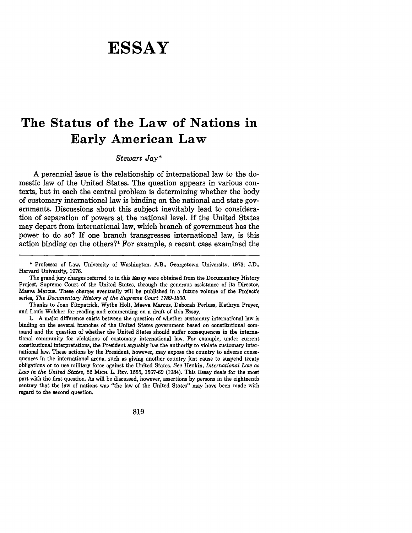# **ESSAY**

## **The Status of the Law of Nations in Early American Law**

#### *Stewart Jay\**

**A** perennial issue is the relationship of international law to the domestic law of the United States. The question appears in various contexts, but in each the central problem is determining whether the body of customary international law is binding on the national and state governments. Discussions about this subject inevitably lead to consideration of separation of powers at the national level. If the United States may depart from international law, which branch of government has the power to do so? If one branch transgresses international law, is this action binding on the others?' For example, a recent case examined the

Thanks to Joan Fitzpatrick, Wythe Holt, Maeva Marcus, Deborah Perluss, Kathryn Preyer, and Louis Wolcher for reading and commenting on a draft of this Essay.

**1. A** major difference exists between the question of whether customary international law is binding on the several branches of the United States government based on constitutional com mand and the question of whether the United States should suffer consequences in the international community for violations of customary international law. For example, under current constitutional interpretations, the President arguably has the authority to violate customary international law. These actions **by** the President, however, may expose the country to adverse consequences in the international arena, such as giving another country **just** cause to suspend treaty obligations or to use military force against the United States. *See* Henkin, *International Law as Law in the United States,* **82** MtcH. L. REv. **1555, 1567-69** (1984). This Essay deals for the most part with the first question. As will be discussed, however, assertions **by** persons in the eighteenth century that the law of nations was "the law of the United States" may have been made with regard to the second question.

**<sup>\*</sup>** Professor of Law, University of Washington. A.B., Georgetown University, **1973; J.D.,** Harvard University, **1976.**

The grand jury charges referred to in this Essay were obtained from the Documentary History Project, Supreme Court of the United States, through the generous assistance of its Director, Maeva Marcus. These charges eventually will be published in a future volume of the Project's series, *The Documentary History of the Supreme Court 1789-1800.*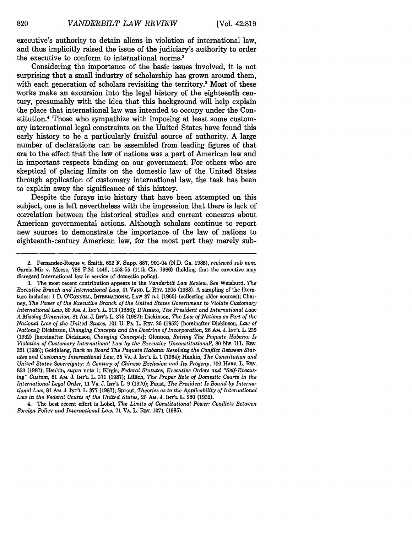executive's authority to detain aliens in violation of international law, and thus implicitly raised the issue of the judiciary's authority to order the executive to conform to international norms.

Considering the importance of the basic issues involved, it is not surprising that a small industry of scholarship has grown around them, with each generation of scholars revisiting the territory.<sup>3</sup> Most of these works make an excursion into the legal history of the eighteenth century, presumably with the idea that this background will help explain the place that international law was intended to occupy under the Constitution.4 Those who sympathize with imposing at least some customary international legal constraints on the United States have found this early history to be a particularly fruitful source of authority. **A** large number of declarations can be assembled from leading figures of that era to the effect that the law of nations was a part of American law and in important respects binding on our government. For others who are skeptical of placing limits on the domestic law of the United States through application of customary international law, the task has been to explain away the significance of this history.

Despite the forays into history that have been attempted on this subject, one is left nevertheless with the impression that there is lack of correlation between the historical studies and current concerns about American governmental actions. Although scholars continue to report new sources to demonstrate the importance of the law of nations to eighteenth-century American law, for the most part they merely sub-

4. The best recent effort is Lobel, *The Limits of Constitutional Power: Conflicts Between Foreign Policy and International Law,* **71 VA.** L. REv. **1071 (1985).**

<sup>2.</sup> Fernandez-Roque v. Smith, 622 F. Supp. 887, 901-04 (N.D. Ga. 1985), *reviewed sub nom.* Garcia-Mir v. Meese, **788** F.2d 1446, 1453-55 (11th Cir. 1986) (holding that the executive may disregard international law in service of domestic policy).

<sup>3.</sup> The most recent contribution appears in the *Vanderbilt Law Review. See* Weisburd, *The Executive Branch and International Law,* 41 **VAND.** L. **REv. 1205** (1988). A sampling of the literature includes: 1 D. **O'CONNELL, INTERNATIONAL LAW** 37 n.1 (1965) (collecting older sources); Charney, *The Power of the Executive Branch of the United States Government to Violate Customary International Law,* 80 **Am.** J. **INT'L** L. 913 (1986); D'Amato, *The President and International Law: A Missing Dimension,* **81** AM. J. **INT'L** L. **375** (1987); Dickinson, *The Law of Nations as Part of the National Law of the United States,* 101 U. PA. L. **REv.** 26 (1952) [hereinafter Dickinson, *Law of Nations];* Dickinson, *Changing Concepts and the Doctrine of Incorporation,* **26** AM. J. **IN'L** L. **239** (1932) [hereinafter Dickinson, *Changing Concepts];* Glennon, *Raising The Paquete Habana: Is Violation of Customary International Law by the Executive Unconstitutional?,* 80 Nw. **U.L.** Rpv. 321 (1986); Goldklang, *Back on Board The Paquete Habana: Resolving the Conflict Between Statutes and Customary International Law,* 25 VA. J. **INT'L** L. 1 (1984); Henkin, *The Constitution and United States Sovereignty: A Century of Chinese Exclusion and Its Progeny,* **100** HARv. L. lRv. **853 (1987);** Henkin, *supra* note 1; Kirgis, *Federal Statutes, Executive Orders and "Self-Executing" Custom,* **81** AM. **J. INTL** L. **371 (1987);** Lillich, *The Proper Role of Domestic Courts in the International Legal Order,* 11 **VA. J. INT'L L. 9 (1970);** Paust, *The President Is Bound by International Law,* 81 AM. **J. INT'L** L. **377 (1987);** Sprout, *Theories as to the Applicability of International Law in the Federal Courts of the United States,* 26 Am. J. **INr'L** L. **280 (1932).**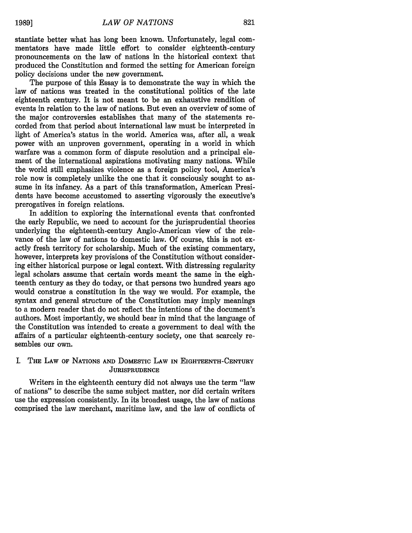stantiate better what has long been known. Unfortunately, legal commentators have made little effort to consider eighteenth-century pronouncements on the law of nations in the historical context that produced the Constitution and formed the setting for American foreign policy decisions under the new government.

The purpose of this Essay is to demonstrate the way in which the law of nations was treated in the constitutional politics of the late eighteenth century. It is not meant to be an exhaustive rendition of events in relation to the law of nations. But even an overview of some of the major controversies establishes that many of the statements recorded from that period about international law must be interpreted in light of America's status in the world. America was, after all, a weak power with an unproven government, operating in a world in which warfare was a common form of dispute resolution and a principal element of the international aspirations motivating many nations. While the world still emphasizes violence as a foreign policy tool, America's role now is completely unlike the one that it consciously sought to assume in its infancy. As a part of this transformation, American Presidents have become accustomed to asserting vigorously the executive's prerogatives in foreign relations.

In addition to exploring the international events that confronted the early Republic, we need to account for the jurisprudential theories underlying the eighteenth-century Anglo-American view of the relevance of the law of nations to domestic law. **Of** course, this is not exactly fresh territory for scholarship. Much of the existing commentary, however, interprets key provisions of the Constitution without considering either historical purpose or legal context. With distressing regularity legal scholars assume that certain words meant the same in the eighteenth century as they do today, or that persons two hundred years ago would construe a constitution in the way we would. For example, the syntax and general structure of the Constitution may imply meanings to a modern reader that do not reflect the intentions of the document's authors. Most importantly, we should bear in mind that the language of the Constitution was intended to create a government to deal with the affairs of a particular eighteenth-century society, one that scarcely resembles our own.

#### I. THE LAW OF **NATIONS AND** DOMESTIC LAW **IN** EIGHTEENTH-CENTURY **JURISPRUDENCE**

Writers in the eighteenth century did not always use the term "law of nations" to describe the same subject matter, nor did certain writers use the expression consistently. In its broadest usage, the law of nations comprised the law merchant, maritime law, and the law of conflicts of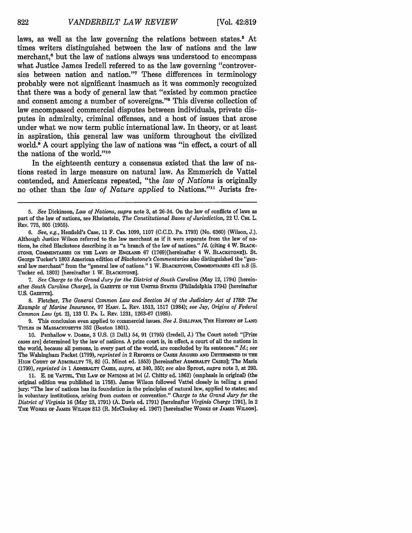laws, as well as the law governing the relations between states.<sup>5</sup> At times writers distinguished between the law of nations and the law merchant.<sup>6</sup> but the law of nations always was understood to encompass what Justice James Iredell referred to as the law governing "controversies between nation and nation."<sup>7</sup> These differences in terminology probably were not significant inasmuch as it was commonly recognized that there was a body of general law that "existed **by** common practice and consent among a number of sovereigns."<sup>8</sup> This diverse collection of law encompassed commercial disputes between individuals, private disputes in admiralty, criminal offenses, and a host of issues that arose under what we now term public international law. In theory, or at least in aspiration, this general law was uniform throughout the civilized world.<sup>9</sup> A court applying the law of nations was "in effect, a court of all the nations of the world."<sup>10</sup>

In the eighteenth century a consensus existed that the law of nations rested in large measure on natural law. As Emmerich de Vattel contended, and Americans repeated, "the *law of Nations* is originally no other than the *law of Nature applied* to Nations."1 Jurists fre-

7. *See Charge to the Grand Jury for the District of South Carolina* (May 12, 1794) [hereinafter *South Carolina Charge],* in GAZETTE **OF THE** UNITED STATES (Philadelphia 1794) [hereinafter U.S. GAZETTE].

8. Fletcher, *The General Common Law and Section 34 of the Judiciary Act of 1789: The Example of Marine Insurance,* 97 HARv. L. REV. 1513, 1517 (1984); *see* Jay, *Origins of Federal Common Law* (pt. 2), 133 U. **PA.** L. **REV.** 1231, 1263-67 (1985).

9. This conclusion even applied to commercial issues. *See* J. **SULLIVAN, THE HISTORY OF LAND** TITLES **IN** MASSACHUSETTS 352 (Boston 1801).

**11.** E. **DE** VATTEL, **THE LAW OF** NATIONS at lvi (J. Chitty ed. 1863) (emphasis in original) (the original edition was published in 1758). James Wilson followed Vattel closely in telling a grand **jury:** "The law of nations has its foundation in the principles of natural law, applied to states; and in voluntary institutions, arising from custom or convention." *Charge to the Grand Jury for the District of Virginia* 16 (May 23, 1791) (A. Davis ed. 1791) [hereinafter *Virginia Charge* 1791], in 2 THE WORKS **OF JAMES WILSON** 813 (R. McCloskey ed. 1967) [hereinafter WORKS **OF JAMES WILSON].**

*<sup>5.</sup> See* Dickinson, *Law of Nations, supra* note 3, at 26-34. On the law of conflicts of laws as part of the law of nations, see Rheinstein, *The Constitutional Bases of Jurisdiction,* 22 U. **CHL** L. REV. 775, 805 (1955).

*<sup>6.</sup> See, e.g.,* Henfield's Case, 11 F. Cas. 1099, 1107 (C.C.D. Pa. 1793) (No. 6360) (Wilson, J.). Although Justice Wilson referred to the law merchant as if it were separate from the law of nations, he cited Blackstone describing it as "a branch of the law of nations." *Id.* (citing 4 W. BLACK-**STONE, COMMENTARIES ON THE** LAWS **OF ENGLAND** 67 (1769)[hereinafter 4 W. **BLACKSTONE]).** St. George Tucker's 1803 American edition of *Blackstone's Commentaries* also distinguished the "general law merchant" from the "general law of nations." 1 W. **BLACKSTONE,** COMMENTARIES 421 n.8 (S. Tucker ed. 1803) [hereinafter 1 W. **BLACKSTONE].**

<sup>10.</sup> Penhallow v. Doane, 3 U.S. (3 Dall.) 54, 91 (1795) (Iredell, J.) The Court noted: "[Prize cases are] determined by the law of nations. A prize court is, in effect, a court of all the nations in the world, because all persons, in every part of the world, are concluded by its sentences." *Id.; see* The Walsingham Packet (1799), *reprinted in* 2 **REPORTS OF** CASES **ARGUED AND** DETERMINED **IN THE HIGH COURT OF ADMIRALTY** 78, 82 (G. Minot ed. 1853) [hereinafter **ADMIRALTY CASES];** The Maria (1799), *reprinted in* 1 **ADMIRALTY CASES,** *supra,* at 340, 350; *see also* Sprout, *supra* note 3, at 293.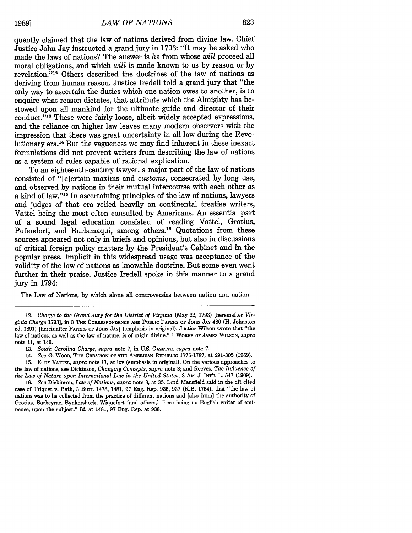quently claimed that the law of nations derived from divine law. Chief Justice John Jay instructed a grand jury in 1793: "It may be asked who made the laws of nations? The answer is *he* from whose *will* proceed all moral obligations, and which *will* is made known to us by reason or by revelation. '12 Others described the doctrines of the law of nations as deriving from human reason. Justice Iredell told a grand jury that "the only way to ascertain the duties which one nation owes to another, is to enquire what reason dictates, that attribute which the Almighty has bestowed upon all mankind for the ultimate guide and director of their conduct."13 These were fairly loose, albeit widely accepted expressions, and the reliance on higher law leaves many modern observers with the impression that there was great uncertainty in all law during the Revolutionary era.14 But the vagueness we may find inherent in these inexact formulations did not prevent writers from describing the law of nations as a system of rules capable of rational explication.

To an eighteenth-century lawyer, a major part of the law of nations consisted of "[c]ertain maxims and *customs,* consecrated by long use, and observed by nations in their mutual intercourse with each other as a kind of law."<sup>15</sup> In ascertaining principles of the law of nations, lawyers and judges of that era relied heavily on continental treatise writers, Vattel being the most often consulted by Americans. An essential part of a sound legal education consisted of reading Vattel, Grotius, Pufendorf, and Burlamaqui, among others.<sup>16</sup> Quotations from these sources appeared not only in briefs and opinions, but also in discussions of critical foreign policy matters by the President's Cabinet and in the popular press. Implicit in this widespread usage was acceptance of the validity of the law of nations as knowable doctrine. But some even went further in their praise. Justice Iredell spoke in this manner to a grand jury in 1794:

The Law of Nations, by which alone all controversies between nation and nation

<sup>12.</sup> *Charge to the Grand Jury for the District of Virginia* (May 22, 1793) [hereinafter *Virginia Charge* **1793],** in **3 THE CORRESPONDENCE AND PUBLIC PAPERS OF JOHN JAY** 480 (H. Johnston ed. **1891)** [hereinafter **PAPERS OF JOHN JAY] (emphasis in original). Justice** Wilson wrote that "the law of nations, as well as the law of nature, is of **origin** divine." **1 WORKS OF JAMES WILSON,** *supra* note **11,** at 149.

**<sup>13.</sup>** *South Carolina Charge, supra* **note 7,** in **U.S. GAZETTE,** *supra* **note 7.**

<sup>14.</sup> *See* **G.** WOOD, THE **CREATION OF THE AMERICAN REPUBLIC 1776-1787,** at 291-305 **(1969).**

<sup>15.</sup> E. **DE** VATTEL, *supra* note 11, at lxv (emphasis in original). On the various approaches to the law of nations, see Dickinson, *Changing Concepts, supra* note 3; and Reeves, *The Influence of the Law of Nature upon International Law in the United States,* 3 **AM.** J. **INT'L** L. 547 (1909).

<sup>16.</sup> *See* Dickinson, *Law of Nations, supra* note 3, at 35. Lord Mansfield said in the oft cited case of Triquet v. Bath, 3 Burr. 1478, 1481, 97 Eng. Rep. 936, 937 (K.B. 1764), that "the law of nations was to be collected from the practice of different nations and [also from] the authority of Grotius, Barbeyrac, Bynkershoek, Wiquefort [and others,] there being no English writer of eminence, upon the subject." *Id.* at 1481, 97 Eng. Rep. at 938.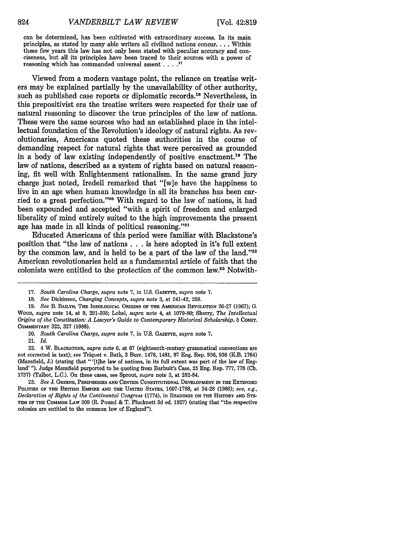can be determined, has been cultivated with extraordinary success. In its **main** principles, as stated by many able writers all civilized nations concur.... Within these few years this law has not only been stated with peculiar accuracy and conciseness, but all its principles have been traced to their sources with a power of reasoning which has commanded universal assent. **.... 17**

Viewed from a modern vantage point, the reliance on treatise writers may be explained partially by the unavailability of other authority, such as published case reports or diplomatic records.<sup>18</sup> Nevertheless, in this prepositivist era the treatise writers were respected for their use of natural reasoning to discover the true principles of the law of nations. These were the same sources who had an established place in the intellectual foundation of the Revolution's ideology of natural rights. As revolutionaries, Americans quoted these authorities in the course of demanding respect for natural rights that were perceived as grounded in a body of law existing independently of positive enactment."9 The law of nations, described as a system of rights based on natural reasoning, fit well with Enlightenment rationalism. In the same grand jury charge just noted, Iredell remarked that "[w]e have the happiness to live in an age when human knowledge in all its branches has been carried to a great perfection."20 With regard to the law of nations, it had been expounded and accepted "with a spirit of freedom and enlarged liberality of mind entirely suited to the high improvements the present age has made in all kinds of political reasoning." $2<sup>121</sup>$ 

Educated Americans of this period were familiar with Blackstone's position that "the law of nations **. . .** is here adopted in it's full extent by the common law, and is held to be a part of the law of the land." $22$ American revolutionaries held as a fundamental article of faith that the colonists were entitled to the protection of the common law.23 Notwith-

21. *Id.*

**23.** *See* **J. GREENE, PERIPHERIES AND CENTEM** CONSTITUTIONAL **DEVELOPMENT IN THE EXTENDED** POLITIES **OF THE BRITISH** EMPmE **AND THE** UNITED **STATES,** 1607-1788, at 24-28 (1986); *see, e.g., Declaration of Rights of the Continental Congress* (1774), in **READINGS ON THE** HISTORY **AND SYS-**TEM **OF THE COMMON** LAW 309 (R. Pound & T. Plucknett 3d ed. 1927) (stating that "the respective colonies are entitled to the common law of England").

**<sup>17.</sup>** *South Carolina Charge, supra* note **7,** in **US.** GAZETTE, *supra* note **7.**

<sup>18.</sup> *See* Dickinson, *Changing Concepts, supra* note 3, at 241-42, 259.

<sup>19.</sup> *See* B. **BAILYN, THE** IDEOLOGICAL **ORIGINS OF THE AMERICAN REVOLUTION** 26-27 (1967); G. WOOD, *supra* note 14, at 9, 291-305; Lobel, *supra* note 4, at 1079-80; Sherry, *The Intellectual Origins of the Constitution: A Lawyer's Guide to Contemporary Historical Scholarship,* 5 CONST. COMMENTARY 323, 327 (1988).

<sup>20.</sup> *South Carolina Charge, supra* note 7, in U.S. **GAZETTE,** *supra* note 7.

<sup>22. 4</sup> W. **BLACKSTONE,** *supra* note 6, at 67 (eighteenth-century grammatical conventions are not corrected in text); *see* Triquet v. Bath, 3 Burr. 1478, 1481, 97 Eng. Rep. 936, 938 (K.B. 1764) (Mansfield, J.) (stating that "'[t]he law of nations, in its full extent was part of the law of England' **").** Judge Mansfield purported to be quoting from Barbuit's Case, 25 Eng. Rep. 777, 778 **(Ch.** 1737) (Talbot, L.C.). On these cases, see Sprout, *supra* note 3, at 282-84.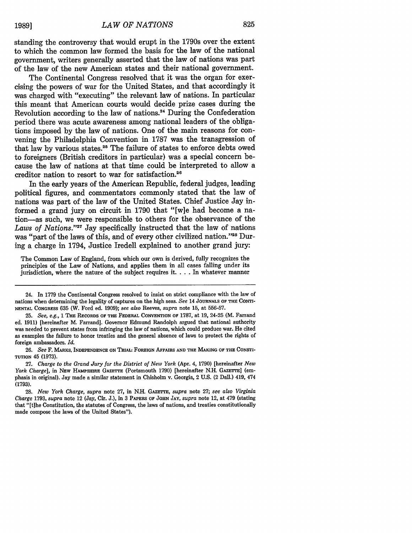standing the controversy that would erupt in the 1790s over the extent to which the common law formed the basis for the law of the national government, writers generally asserted that the law of nations was part of the law of the new American states and their national government.

The Continental Congress resolved that it was the organ for exercising the powers of war for the United States, and that accordingly it was charged with "executing" the relevant law of nations. In particular this meant that American courts would decide prize cases during the Revolution according to the law of nations.24 During the Confederation period there was acute awareness among national leaders of the obligations imposed by the law of nations. One of the main reasons for convening the Philadelphia Convention in 1787 was the transgression of that law by various states.25 The failure of states to enforce debts owed to foreigners (British creditors in particular) was a special concern because the law of nations at that time could be interpreted to allow a creditor nation to resort to war for satisfaction.<sup>26</sup>

In the early years of the American Republic, federal judges, leading political figures, and commentators commonly stated that the law of nations was part of the law of the United States. Chief Justice Jay informed a grand jury on circuit in 1790 that "[w]e had become a nation-as such, we were responsible to others for the observance of the *Laws of Nations.'27* Jay specifically instructed that the law of nations was "part of the laws of this, and of every other civilized nation."28 During a charge in 1794, Justice Iredell explained to another grand jury:

The Common Law of England, from which our own is derived, fully recognizes the principles of the Law of Nations, and applies them in all cases falling under its jurisdiction, where the nature of the subject requires it **....** In whatever manner

<sup>24.</sup> In 1779 the Continental Congress resolved to insist on strict compliance with the law of nations when determining the legality of captures on the high seas. *See* 14 JOURNALS OF THE CONTI-NENTAL CONGRESS 635 (W. Ford ed. 1909); *see also* Reeves, *supra* note 15, at 556-57.

<sup>25.</sup> *See, e.g.,* 1 THE RECORDS OF THE FEDERAL CONVENTION **OF** 1787, at 19, 24-25 (M. Farrand ed. 1911) [hereinafter M. Farrand]. Governor Edmund Randolph argued that national authority was needed to prevent states from infringing the law of nations, which could produce war. He cited as examples the failure to honor treaties and the general absence of laws to protect the rights of foreign ambassadors. *Id.*

**<sup>26.</sup>** *See* **F.** MARKS, INDEPENDENCE ON TRIAL: FOREIGN AFFAIRS **AND** THE MAKING OF THE CONSTI-**TUTION 45** (1973).

**<sup>27.</sup>** *Charge to the Grand Jury for the District of New York* (Apr. 4, 1790) [hereinafter *New York Charge],* in NEW HAMPSHIRE GAZETTE (Portsmouth 1790) [hereinafter N.H. GAZETTE] (emphasis in original). Jay made a similar statement in Chisholm v. Georgia, 2 U.S. (2 Dall.) 419, 474 **(1793).**

**<sup>28.</sup>** *New York Charge, supra* note **27,** in **N.H.** GAzETrE, *supra* note **27;** *see also Virginia Charge* **1793,** *supra* note 12 (Jay, Cir. **J.),** in **3** PAPERS OF **JOHN JAY,** *supra* note 12, at 479 (stating that "[t]he Constitution, the statutes of Congress, the laws of nations, and treaties constitutionally made compose the laws of the United States").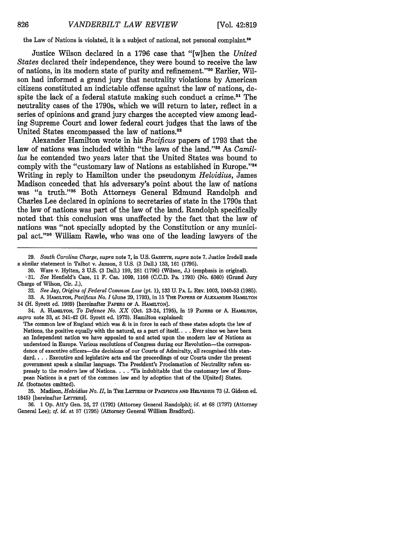826

the Law of Nations is violated, it is a subject of national, not personal complaint.<sup>29</sup>

Justice Wilson declared in a 1796 case that "[w]hen the *United* States declared their independence, they were bound to receive the law of nations, in its modern state of purity and refinement."30 Earlier, Wilson had informed a grand jury that neutrality violations by American citizens constituted an indictable offense against the law of nations, despite the lack of a federal statute making such conduct a crime.<sup>31</sup> The neutrality cases of the 1790s, which we will return to later, reflect in a series of opinions and grand jury charges the accepted view among leading Supreme Court and lower federal court judges that the laws of the United States encompassed the law of nations.<sup>32</sup>

Alexander Hamilton wrote in his *Pacificus* papers of 1793 that the law of nations was included within "the laws of the land."<sup>33</sup> As *Camillus* he contended two years later that the United States was bound to comply with the "customary law of Nations as established in Europe."<sup>34</sup> Writing in reply to Hamilton under the pseudonym *Helvidius,* James Madison conceded that his adversary's point about the law of nations was "a truth."<sup>35</sup> Both Attorneys General Edmund Randolph and Charles Lee declared in opinions to secretaries of state in the 1790s that the law of nations was part of the law of the land. Randolph specifically noted that this conclusion was unaffected by the fact that the law of nations was "not specially adopted by the Constitution or any municipal act."<sup>36</sup> William Rawle, who was one of the leading lawyers of the

32. *See* Jay, *Origins of Federal Common Law* (pt. 1), 133 U. PA. L. REV. 1003, 1040-53 (1985). **33. A. HAMILTON,** *Pacificus No. I* (June **29, 1793), in 15 THE PAPERS OF ALEXANDER HAMILTON**

34 (H. Syrett ed. **1969)** [hereinafter PAPERS **OF A.** HAMILTON].

34. **A. HAMILTON,** *To Defence No. XX* (Oct. 23-24, **1795),** in **19** PAPERS OF **A. HAMILTON,** *supra* note **33,** at 341-42 (H. Syrett ed. **1973).** Hamilton explained:

The common law of England which was **&** is in force in each of these states adopts the law of Nations, the positive equally with the natural, as a part of **itself....** Ever since we have been an Independent nation we have appealed to and acted upon the modern law of Nations as understood in Europe. Various resolutions of Congress during our Revolution-the correspondence of executive officers-the decisions of our Courts of Admiralty, all recognised this standard.. .**.** Executive and legislative acts and the proceedings of our Courts under the present government speak a similar language. The President's Proclamation of Neutrality refers expressly to the *modern* law of Nations. **.-. .** 'Tis indubitable that the customary law of European Nations is a **part** of the common law and **by** adoption that of the U[nited] States. *Id.* (footnotes omitted).

**35.** Madison, *Helvidius No. II,* in THE **LETTERS OF PACIFICUS AND** HELVIDIUs **73 (J.** Gideon ed. 1845) [hereinafter LETTERS].

**<sup>29.</sup>** *South Carolina Charge, supra* note **7,** in U.S. GAZETTE, *supra* note **7.** Justice Iredell made a similar statement in Talbot v. Janson, 3 U.S. (3 Dall.) 133, 161 (1795).

<sup>30.</sup> Ware v. Hylton, 3 U.S. **(3** Dall.) 199, 281 (1796) (Wilson, J.) (emphasis in original).

<sup>-31.</sup> *See* Henfield's Case, 11 F. Cas. 1099, 1108 **(C.C.D.** Pa. 1793) (No. 6360) (Grand Jury Charge of Wilson, Cir. J.).

<sup>36. 1</sup> *Op.* Att'y Gen. **26,** 27 (1792) (Attorney General Randolph); *id.* at 68 (1797) (Attorney General Lee); *cf. id.* at 57 (1795) (Attorney General William Bradford).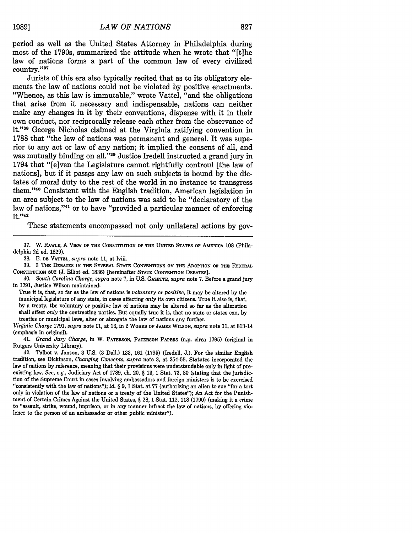period as well as the United States Attorney in Philadelphia during most of the 1790s, summarized the attitude when he wrote that "[t]he law of nations forms a part of the common law of every civilized country." $37$ 

Jurists of this era also typically recited that as to its obligatory elements the law of nations could not be violated by positive enactments. "Whence, as this law is immutable," wrote Vattel, "and the obligations that arise from it necessary and indispensable, nations can neither make any changes in it by their conventions, dispense with it in their own conduct, nor reciprocally release each other from the observance of it."<sup>38</sup> George Nicholas claimed at the Virginia ratifying convention in 1788 that "the law of nations was permanent and general. It was superior to any act or law of any nation; it implied the consent of all, and was mutually binding on all."<sup>39</sup> Justice Iredell instructed a grand jury in 1794 that "[e]ven the Legislature cannot rightfully controul [the law of nations], but if it passes any law on such subjects is bound by the dictates of moral duty to the rest of the world in no instance to transgress them."'40 Consistent with the English tradition, American legislation in an area subject to the law of nations was said to be "declaratory of the law of nations,"<sup>41</sup> or to have "provided a particular manner of enforcing it."<sup>42</sup>

These statements encompassed not only unilateral actions by gov-

**37.** W. **RAWLE,** A ViEw **OF THE** CONSTITUTION **OF THE UNITED STATES OF AMERICA 108** (Philadelphia **2d** ed. **1829).**

**38. E. DE VATTEL,** *supra* note **11,** at lviii.

**39.** 3 **THE DEBATES IN THE SEVERAL STATE CONVENTIONS ON THE ADOPTION OF THE FEDERAL CONSTITUTION 502 (J.** Elliot ed. **1836) [hereinafter STATE CONVENTION DEBATES].**

40. *South Carolina Charge, supra* note **7,** in **U.S.** GAzETTE, *supra* note **7.** Before a grand jury in **1791,** Justice Wilson maintained:

True it is, that, so far as the law of nations is *voluntary* or *positive,* it may be altered **by** the municipal legislature of any state, in cases affecting *only* its own citizens. True it also is, that, **by** a treaty, the voluntary or positive law of nations may be altered so far as the alteration shall affect *only* the contracting parties. But equally true it is, that no state or states can, **by** treaties or municipal laws, alter or abrogate the law of nations any further.

*Virginia Charge* **1791,** *supra* note **11,** at **16,** in 2 **WORKS OF JAMES WILSON,** *supra* note **11,** at 813-14 (emphasis in original).

41. *Grand Jury Charge,* in W. **PATERSON, PATERSON PAPERS** (n.p. circa **1795)** (original in Rutgers University Library).

42. Talbot v. Janson, **3 U.S. (3** Dall.) **133, 161 (1795)** (Iredell, **J.).** For the similar English tradition, see Dickinson, *Changing Concepts, supra* note **3,** at **254-55.** Statutes incorporated the law of nations **by** reference, meaning that their provisions were understandable only in light of preexisting law. *See, e.g.,* Judiciary Act of **1789,** ch. 20, § **13, 1** Stat. **73, 80** (stating that the jurisdiction of the Supreme Court in cases involving ambassadors and foreign ministers is to be exercised "consistently with the law of nations"); *id.* § **9, 1** Stat. at **77** (authorizing an alien to sue "for a tort only in violation of the law of nations or a treaty of the United States"); An Act for the Punishment of Certain Crimes Against the United States, § **28, 1** Stat. 112, **118 (1790)** (making it a crime to "assault, strike, wound, imprison, or in any manner infract the law of nations, **by** offering violence to the person of an ambassador or other public minister").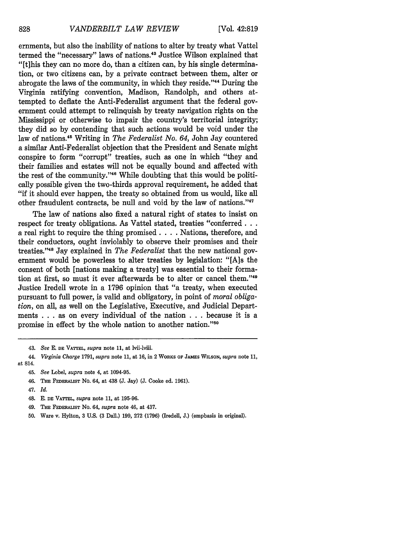ernments, but also the inability of nations to alter by treaty what Vattel termed the "necessary" laws of nations.<sup>43</sup> Justice Wilson explained that "[t]his they can no more do, than a citizen can, by his single determination, or two citizens can, by a private contract between them, alter or abrogate the laws of the community, in which they reside."'44 During the Virginia ratifying convention, Madison, Randolph, and others attempted to deflate the Anti-Federalist argument that the federal government could attempt to relinquish by treaty navigation rights on the Mississippi or otherwise to impair the country's territorial integrity; they did so by contending that such actions would be void under the law of nations.45 Writing in *The Federalist No. 64,* John Jay countered a similar Anti-Federalist objection that the President and Senate might conspire to form "corrupt" treaties, such as one in which "they and their families and estates will not be equally bound and affected with the rest of the community."<sup>46</sup> While doubting that this would be politically possible given the two-thirds approval requirement, he added that "if it should ever happen, the treaty so obtained from us would, like all other fraudulent contracts, be null and void by the law of nations."<sup>47</sup>

The law of nations also fixed a natural right of states to insist on respect for treaty obligations. As Vattel stated, treaties "conferred... a real right to require the thing promised. . **.** . Nations, therefore, and their conductors, ought inviolably to observe their promises and their treaties. '48 Jay explained in *The Federalist* that the new national government would be powerless to alter treaties by legislation: "[A]s the consent of both [nations making a treaty] was essential to their formation at first, so must it ever afterwards be to alter or cancel them. '49 Justice Iredell wrote in a 1796 opinion that "a treaty, when executed pursuant to full power, is valid and obligatory, in point of *moral obligation,* on all, as well on the Legislative, Executive, and Judicial Departments . . . as on every individual of the nation . . . because it is a promise in effect by the whole nation to another nation."50

- 49. **THE** FEDERALIST No. 64, *supra* note 46, at 437.
- **50.** Ware v. Hylton, **3** U.S. (3 Dall.) 199, 272 (1796) (Iredell, **J.)** (emphasis **in** original).

<sup>43.</sup> *See* E. **DE** VATrTEL, *supra* note 11, at lvii-lviii.

<sup>44.</sup> *Virginia Charge* 1791, *supra* note **11,** at 16, **in** 2 WORKS **OF JAMES WILSON,** *supra* note 11, at 814.

<sup>45.</sup> *See* Lobel, *supra* note 4, at 1094-95.

**<sup>46.</sup> THE FEDERALIST** No. 64, at 438 **(J.** Jay) **(J. Cooke ed. 1961).**

<sup>47.</sup> *Id.*

<sup>48.</sup> **E. DE VATTEL,** *supra* note 11, at **195-96.**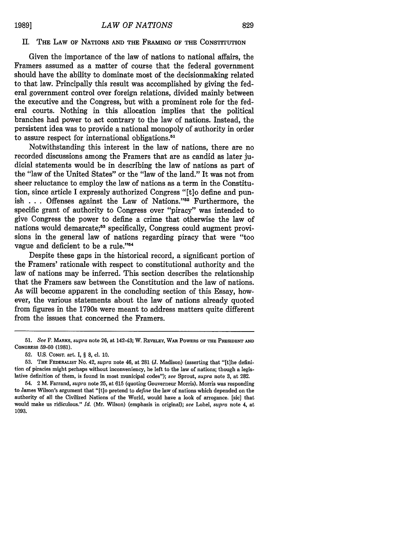#### II. **THE** LAW **OF NATIONS AND THE FRAMING OF THE CONSTITUTION**

Given the importance of the law of nations to national affairs, the Framers assumed as a matter of course that the federal government should have the ability to dominate most of the decisionmaking related to that law. Principally this result was accomplished **by** giving the federal government control over foreign relations, divided mainly between the executive and the Congress, but with a prominent role for the federal courts. Nothing in this allocation implies that the political branches had power to act contrary to the law of nations. Instead, the persistent idea was to provide a national monopoly of authority in order to assure respect for international obligations.<sup>51</sup>

Notwithstanding this interest in the law of nations, there are no recorded discussions among the Framers that are as candid as later judicial statements would be in describing the law of nations as part of the "law of the United States" or the "law of the land." It was not from sheer reluctance to employ the law of nations as a term in the Constitution, since article I expressly authorized Congress "[tlo define and punish . . . Offenses against the Law of Nations."<sup>52</sup> Furthermore, the specific grant of authority to Congress over "piracy" was intended to give Congress the power to define a crime that otherwise the law of nations would demarcate;<sup>53</sup> specifically, Congress could augment provisions in the general law of nations regarding piracy that were "too vague and deficient to be a rule."<sup>54</sup>

Despite these gaps in the historical record, a significant portion of the Framers' rationale with respect to constitutional authority and the law of nations may be inferred. This section describes the relationship that the Framers saw between the Constitution and the law of nations. As will become apparent in the concluding section of this Essay, however, the various statements about the law of nations already quoted from figures in the 1790s were meant to address matters quite different from the issues that concerned the Framers.

**<sup>51.</sup>** *See* F. MARKS, *supra* note **26,** at 142-43; W. REVELEY, WAR POWERS OF THE **PRESIDENT AND** CONGRESS 59-60 (1981).

<sup>52.</sup> **U.S.** CONST. art. I, § **8, c.** 10.

<sup>53.</sup> THE FEDERALIST No. 42, *supra* note 46, at 281 (J. Madison) (asserting that "[tihe definition of piracies might perhaps without inconveniency, be left to the law of nations; though a legislative definition of them, is found in most municipal codes"); *see* Sprout, *supra* note 3, at 282.

<sup>54. 2</sup> M. Farrand, *supra* note 25, at 615 (quoting Gouverneur Morris). Morris was responding to James Wilson's argument that "[tlo pretend to *define* the law of nations which depended on the authority of all the Civilized Nations of the World, would have a look of arrogance. [sic] that would make us ridiculous." *Id.* (Mr. Wilson) (emphasis in original); *see* Lobel, *supra* note 4, at 1093.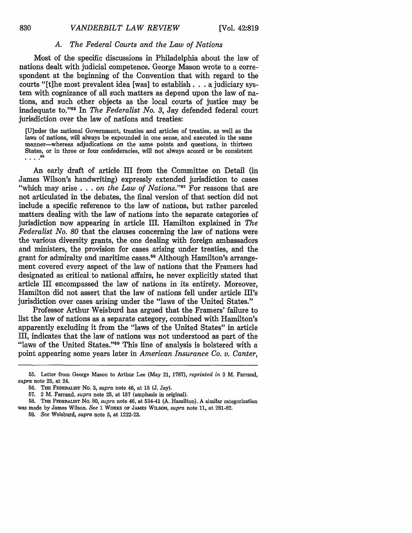#### *A. The Federal Courts and the Law of Nations*

Most of the specific discussions in Philadelphia about the law of nations dealt with judicial competence. George Mason wrote to a correspondent at the beginning of the Convention that with regard to the courts "[t]he most prevalent idea [was] to establish **...** a judiciary system with cognizance of all such matters as depend upon the law of nations, and such other objects as the local courts of justice may be inadequate to." 55 In *The Federalist No. 3,* Jay defended federal court jurisdiction over the law of nations and treaties:

[U]nder the national Government, treaties and articles of treaties, as well as the laws of nations, will always be expounded in one sense, and executed in the same manner—whereas adjudications on the same points and questions, in thirteen States, or in three or four confederacies, will not always accord or be consistent . . . .<sup>56</sup>

An early draft of article III from the Committee on Detail (in James Wilson's handwriting) expressly extended jurisdiction to cases "which may arise  $\ldots$  *on the Law of Nations.*"<sup>57</sup> For reasons that are not articulated in the debates, the final version of that section did not include a specific reference to the law of nations, but rather parceled matters dealing with the law of nations into the separate categories of jurisdiction now appearing in article III. Hamilton explained in *The Federalist No. 80* that the clauses concerning the law of nations were the various diversity grants, the one dealing with foreign ambassadors and ministers, the provision for cases arising under treaties, and the grant for admiralty and maritime cases **. 5** Although Hamilton's arrangement covered every aspect of the law of nations that the Framers had designated as critical to national affairs, he never explicitly stated that article III encompassed the law of nations in its entirety. Moreover, Hamilton did not assert that the law of nations fell under article III's jurisdiction over cases arising under the "laws of the United States."

Professor Arthur Weisburd has argued that the Framers' failure to list the law of nations as a separate category, combined with Hamilton's apparently excluding it from the "laws of the United States" in article III, indicates that the law of nations was not understood as part of the "laws of the United States."<sup>59</sup> This line of analysis is bolstered with a point appearing some years later in *American Insurance Co. v. Canter,*

**<sup>55.</sup>** Letter from George Mason to Arthur Lee (May 21, **1787),** *reprinted in* **3** M. Farrand, *supra* note 25, at 24.

<sup>56.</sup> **THE FEDERALIST** No. **3,** *supra* note 46, at 15 (J. Jay).

<sup>57. 2</sup> M. Farrand, *supra* note 25, at 157 (emphasis in original).

<sup>58.</sup> **THE FEDERALIST** No. 80, *supra* note 46, at 534-41 (A. Hamilton). A similar categorization was made by James Wilson. See 1 **WORKS OF JAMES** WILSON, *supra* note 11, at 281-82.

<sup>59.</sup> See Weisburd, *supra* note 3, at 1222-23.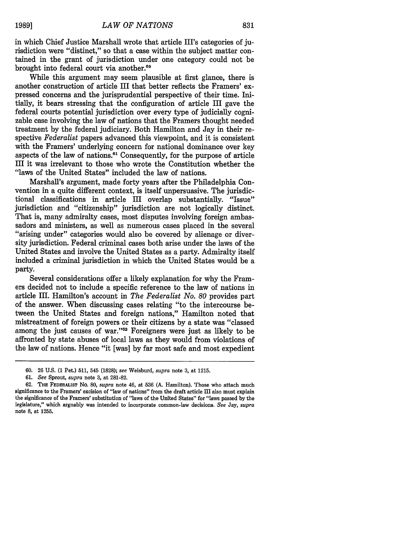in which Chief Justice Marshall wrote that article III's categories of jurisdiction were "distinct," so that a case within the subject matter contained in the grant of jurisdiction under one category could not be brought into federal court via another.<sup>60</sup>

While this argument may seem plausible at first glance, there is another construction of article III that better reflects the Framers' expressed concerns and the jurisprudential perspective of their time. Initially, it bears stressing that the configuration of article III gave the federal courts potential jurisdiction over every type of judicially cognizable case involving the law of nations that the Framers thought needed treatment by the federal judiciary. Both Hamilton and Jay in their respective *Federalist* papers advanced this viewpoint, and it is consistent with the Framers' underlying concern for national dominance over key aspects of the law of nations." Consequently, for the purpose of article III it was irrelevant to those who wrote the Constitution whether the "laws of the United States" included the law of nations.

Marshall's argument, made forty years after the Philadelphia Convention in a quite different context, is itself unpersuasive. The jurisdictional classifications in article III overlap substantially. "Issue" jurisdiction and "citizenship" jurisdiction are not logically distinct. That is, many admiralty cases, most disputes involving foreign ambassadors and ministers, as well as numerous cases placed in the several "arising under" categories would also be covered by alienage or diversity jurisdiction. Federal criminal cases both arise under the laws of the United States and involve the United States as a party. Admiralty itself included a criminal jurisdiction in which the United States would be a party.

Several considerations offer a likely explanation for why the Framers decided not to include a specific reference to the law of nations in article III. Hamilton's account in *The Federalist No. 80* provides part of the answer. When discussing cases relating "to the intercourse between the United States and foreign nations," Hamilton noted that mistreatment of foreign powers or their citizens by a state was "classed among the just causes of war."<sup>62</sup> Foreigners were just as likely to be affronted by state abuses of local laws as they would from violations of the law of nations. Hence "it [was] by far most safe and most expedient

<sup>60. 26</sup> U.S. (1 Pet.) 511, 545 (1828); *see* Weisburd, *supra* note 3, at 1215.

<sup>61.</sup> *See* Sprout, *supra* note 3, at 281-82.

**<sup>62.</sup>** THE **FEDERALIST** No. **80,** *supra* note 46, at **536 (A.** Hamilton). Those who attach much significance to the Framers' excision of "law of nations" from the draft article III also must explain the significance of the Framers' substitution of "laws of the United States" for "laws passed by the legislature," which arguably was intended to incorporate common-law decisions. *See* Jay, *supra* note **8.** at 1255.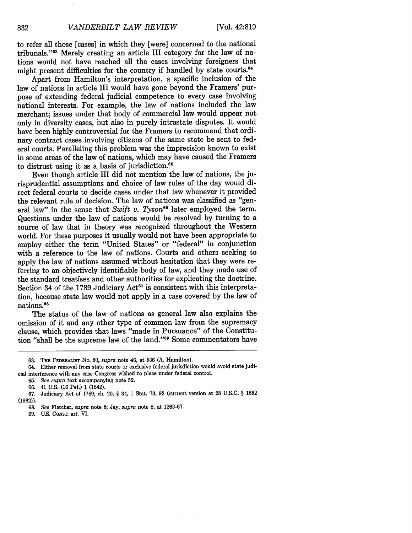to refer all those [cases] in which they [were] concerned to the national tribunals."<sup>63</sup> Merely creating an article III category for the law of nations would not have reached all the cases involving foreigners that might present difficulties for the country if handled by state courts.<sup>64</sup>

Apart from Hamilton's interpretation, a specific inclusion of the law of nations in article III would have gone beyond the Framers' purpose of extending federal judicial competence to every case involving national interests. For example, the law of nations included the law merchant; issues under that body of commercial law would appear not only in diversity cases, but also in purely intrastate disputes. It would have been highly controversial for the Framers to recommend that ordinary contract cases involving citizens of the same state be sent to federal courts. Paralleling this problem was the imprecision known to exist in some areas of the law of nations, which may have caused the Framers to distrust using it as a basis of jurisdiction.<sup>65</sup>

Even though article III did not mention the law of nations, the jurisprudential assumptions and choice of law rules of the day would direct federal courts to decide cases under that law whenever it provided the relevant rule of decision. The law of nations was classified as "general law" in the sense that *Swift v. Tyson*<sup>66</sup> later employed the term. Questions under the law of nations would be resolved **by** turning to a source of law that in theory was recognized throughout the Western world. For these purposes it usually would not have been appropriate to employ either the term "United States" or "federal" in conjunction with a reference to the law of nations. Courts and others seeking to apply the law of nations assumed without hesitation that they were referring to an objectively identifiable body of law, and they made use of the standard treatises and other authorities for explicating the doctrine. Section 34 of the 1789 Judiciary Act<sup>67</sup> is consistent with this interpretation, because state law would not apply in a case covered **by** the law of nations. <sup>8</sup>

The status of the law of nations as general law also explains the omission of it and any other type of common law from the supremacy clause, which provides that laws "made in Pursuance" of the Constitution "shall be the supreme law of the land."<sup>69</sup> Some commentators have

**<sup>63.</sup>** THE FEDERALIST No. **80,** *supra* note 46, at **536 (A.** Hamilton).

<sup>64.</sup> Either removal from state courts or exclusive federal jurisdiction would avoid state judicial interference with any case Congress wished to place under federal control.

**<sup>65.</sup>** *See supra* text accompanying note **52.**

**<sup>66.</sup>** 41 **U.S. (16** Pet.) **1** (1842).

**<sup>67.</sup>** Judiciary Act of **1789,** ch. 20, § 34, **1** Stat. **73, 92** (current version at **28 U.S.C.** § **1652 (1982)).**

**<sup>68.</sup>** *See* Fletcher, *supra* note **8;** Jay, *supra* note **8,** at **1263-67.**

**<sup>69.</sup> U.S.** CONsT. art. VI.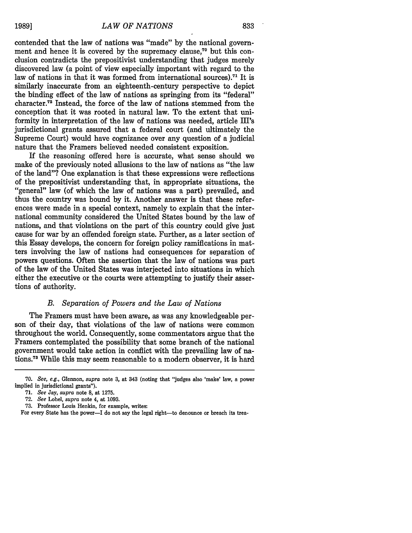contended that the law of nations was "made" by the national government and hence it is covered by the supremacy clause, $7^{\circ}$  but this conclusion contradicts the prepositivist understanding that judges merely discovered law (a point of view especially important with regard to the law of nations in that it was formed from international sources).71 It **is** similarly inaccurate from an eighteenth-century perspective to depict the binding effect of the law of nations as springing from its "federal" character.72 Instead, the force of the law of nations stemmed from the conception that it was rooted in natural law. To the extent that uniformity in interpretation of the law of nations was needed, article III's jurisdictional grants assured that a federal court (and ultimately the Supreme Court) would have cognizance over any question of a judicial nature that the Framers believed needed consistent exposition.

If the reasoning offered here is accurate, what sense should we make of the previously noted allusions to the law of nations as "the law of the land"? One explanation is that these expressions were reflections of the prepositivist understanding that, in appropriate situations, the "general" law (of which the law of nations was a part) prevailed, and thus the country was bound by it. Another answer is that these references were made in a special context, namely to explain that the international community considered the United States bound by the law of nations, and that violations on the part of this country could give just cause for war by an offended foreign state. Further, as a later section of this Essay develops, the concern for foreign policy ramifications in matters involving the law of nations had consequences for separation of powers questions. Often the assertion that the law of nations was part of the law of the United States was interjected into situations in which either the executive or the courts were attempting to justify their assertions of authority.

#### *B. Separation of Powers and the Law of Nations*

The Framers must have been aware, as was any knowledgeable person of their day, that violations of the law of nations were common throughout the world. Consequently, some commentators argue that the Framers contemplated the possibility that some branch of the national government would take action in conflict with the prevailing law of nations.<sup>73</sup> While this may seem reasonable to a modern observer, it is hard

<sup>70.</sup> *See, e.g.,* Glennon, *supra* note 3, at 343 (noting that "judges also 'make' law, a power implied in jurisdictional grants").

**<sup>71.</sup>** *See* Jay, *supra* note **8,** at **1275.**

**<sup>72.</sup>** *See* Lobel, *supra* note 4, at **1093.**

**<sup>73.</sup>** Professor Louis Henkin, for example, writes:

For every State has the power-I do not say the legal right-to denounce or breach its trea-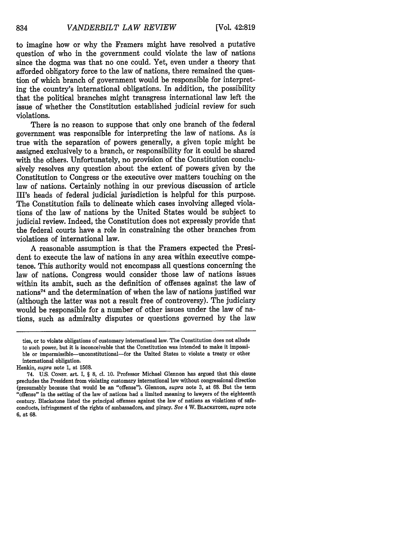to imagine how or why the Framers might have resolved a putative question of who in the government could violate the law of nations since the dogma was that no one could. Yet, even under a theory that afforded obligatory force to the law of nations, there remained the question of which branch of government would be responsible for interpreting the country's international obligations. In addition, the possibility that the political branches might transgress international law left the issue of whether the Constitution established judicial review for such violations.

There is no reason to suppose that only one branch of the federal government was responsible for interpreting the law of nations. As is true with the separation of powers generally, a given topic might be assigned exclusively to a branch, or responsibility for it could be shared with the others. Unfortunately, no provision of the Constitution conclusively resolves any question about the extent of powers given by the Constitution to Congress or the executive over matters touching on the law of nations. Certainly nothing in our previous discussion of article III's heads of federal judicial jurisdiction is helpful for this purpose. The Constitution fails to delineate which cases involving alleged violations of the law of nations by the United States would be subject to judicial review. Indeed, the Constitution does not expressly provide that the federal courts have a role in constraining the other branches from violations of international law.

A reasonable assumption is that the Framers expected the President to execute the law of nations in any area within executive competence. This authority would not encompass all questions concerning the law of nations. Congress would consider those law of nations issues within its ambit, such as the definition of offenses against the law of nations74 and the determination of when the law of nations justified war (although the latter was not a result free of controversy). The judiciary would be responsible for a number of other issues under the law of nations, such as admiralty disputes or questions governed by the law

ties, or to violate obligations of customary international law. The Constitution does not allude to such power, but it is inconceivable that the Constitution was intended to make it impossible or impermissible-unconstitutional-for the United States to violate a treaty or other international obligation.

Henkin, *supra* note **1,** at **1568.**

<sup>74.</sup> **U.S. CONST. art.** I, § **8,** cl. **10.** Professor Michael Glennon has argued that this clause precludes the President from violating customary international law without congressional direction (presumably because that would be an "offense"). Glennon, *supra* note **3,** at **68.** But the term "offense" in the setting of the law of nations had a limited meaning to lawyers of the eighteenth century. Blackstone listed the principal offenses against the law of nations as violations of safeconducts, infringement of the rights of ambassadors, and piracy. *See* 4 W. **BLACKSTONE,** *supra* note 6, at **68.**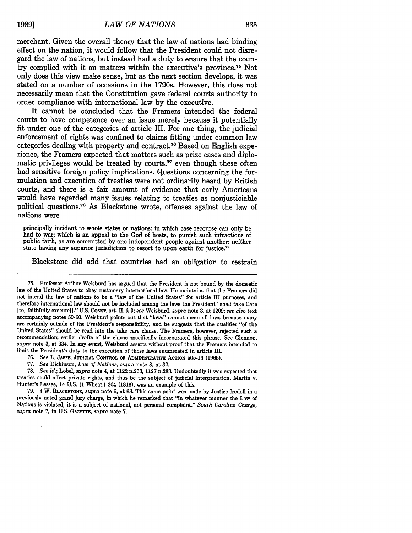merchant. Given the overall theory that the law of nations had binding effect on the nation, it would follow that the President could not disregard the law of nations, but instead had a duty to ensure that the country complied with it on matters within the executive's province.75 Not only does this view make sense, but as the next section develops, it was stated on a number of occasions in the 1790s. However, this does not necessarily mean that the Constitution gave federal courts authority to order compliance with international law **by** the executive.

It cannot be concluded that the Framers intended the federal courts to have competence over an issue merely because it potentially fit under one of the categories of article III. For one thing, the judicial enforcement of rights was confined to claims fitting under common-law categories dealing with property and contract.<sup>76</sup> Based on English experience, the Framers expected that matters such as prize cases and diplomatic privileges would be treated by courts,<sup>77</sup> even though these often had sensitive foreign policy implications. Questions concerning the formulation and execution of treaties were not ordinarily heard **by** British courts, and there is a fair amount of evidence that early Americans would have regarded many issues relating to treaties as nonjusticiable political questions.<sup>78</sup> As Blackstone wrote, offenses against the law of nations were

principally incident to whole states or nations: in which case recourse can only be had to war; which is an appeal to the God of hosts, to punish such infractions of public faith, as are committed by one independent people against another: neither state having any superior jurisdiction to resort to upon earth for justice.<sup>79</sup>

Blackstone did add that countries had an obligation to restrain

- **76.** *See* L. **JAFFE, JUDICIAL** CONTROL **OF ADMINISTRATIVE ACTION 505-13 (1965).**
- 77. *See* Dickinson, *Law of Nations, supra* note **3,** at 32.

78. *See id.;* Lobel, *supra* note 4, at 1122 n.263, 1127 n.283. Undoubtedly it was expected that treaties could affect private rights, and thus be the subject of judicial interpretation. Martin v. Hunter's Lessee, 14 U.S. (1 Wheat.) 304 (1816), was an example of this.

79. 4 W. **BLACKSTONE,** *supra* note 6, at 68. This same point was made by Justice Iredell in a previously noted grand jury charge, in which he remarked that "in whatever manner the Law of Nations is violated, it is a subject of national, not personal complaint." *South Carolina Charge,*  $supra$  note 7, in U.S. GAZETTE, *supra* note 7.

<sup>75.</sup> Professor Arthur Weisburd has argued that the President is not bound by the domestic law of the United States to obey customary international law. He maintains that the Framers did not intend the law of nations to be a "law of the United States" for article III purposes, and therefore international law should not be included among the laws the President "shall take Care [to] faithfully execute[]." U.S. CONsT. art. **II,** § 3; see Weisburd, *supra* note **3,** at 1209; *see also* text accompanying notes 59-60. Weisburd points out that "laws" cannot mean all laws because many are certainly outside of the President's responsibility, and he suggests that the qualifier "of the United States" should be read into the take care clause. The Framers, however, rejected such a recommendation; earlier drafts of the clause specifically incorporated this phrase. *See* Glennon, *supra* note 3, at 334. In any event, Weisburd asserts without proof that the Framers intended to limit the President's duty to the execution of those laws enumerated in article IlI.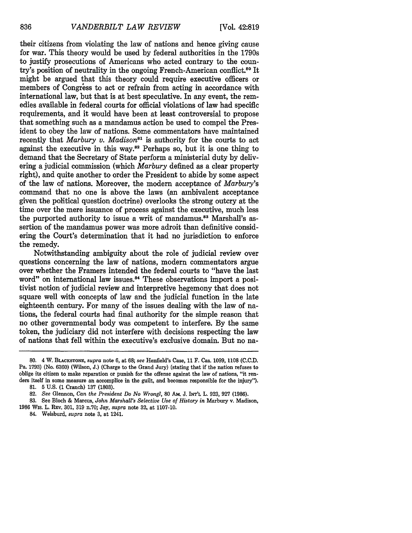their citizens from violating the law of nations and hence giving cause for war. This theory would be used by federal authorities in the 1790s to justify prosecutions of Americans who acted contrary to the country's position of neutrality in the ongoing French-American conflict.80 It might be argued that this theory could require executive officers or members of Congress to act or refrain from acting in accordance with international law, but that is at best speculative. In any event, the remedies available in federal courts for official violations of law had specific requirements, and it would have been at least controversial to propose that something such as a mandamus action be used to compel the President to obey the law of nations. Some commentators have maintained recently that *Marbury v. Madison*<sup>81</sup> is authority for the courts to act against the executive in this way. $82$  Perhaps so, but it is one thing to demand that the Secretary of State perform a ministerial duty by delivering a judicial commission (which *Marbury* defined as a clear property right), and quite another to order the President to abide by some aspect of the law of nations. Moreover, the modern acceptance of *Marbury's* command that no one is above the laws (an ambivalent acceptance given the political question doctrine) overlooks the strong outcry at the time over the mere issuance of process against the executive, much less the purported authority to issue a writ of mandamus.<sup>83</sup> Marshall's assertion of the mandamus power was more adroit than definitive considering the Court's determination that it had no jurisdiction to enforce the remedy.

Notwithstanding ambiguity about the role of judicial review over questions concerning the law of nations, modern commentators argue over whether the Framers intended the federal courts to "have the last word" on international law issues.<sup>84</sup> These observations import a positivist notion of judicial review and interpretive hegemony that does not square well with concepts of law and the judicial function in the late eighteenth century. For many of the issues dealing with the law of nations, the federal courts had final authority for the simple reason that no other governmental body was competent to interfere. By the same token, the judiciary did not interfere with decisions respecting the law of nations that fell within the executive's exclusive domain. But no na-

**<sup>80.</sup>** 4 W. **BLACKSTONE,** *supra* note **6,** at **68;** *see* Henfield's Case, **11** F. Cas. 1099, **1108 (C.C.D.** Pa. 1793) (No. 6360) (Wilson, J.) (Charge to the Grand Jury) (stating that if the nation refuses to oblige its citizen to make reparation or punish for the offense against the law of nations, "it renders itself in some measure an accomplice in the guilt, and becomes responsible for the injury").

**<sup>81.</sup>** 5 **U.S. (1** Cranch) **137 (1803).**

<sup>82.</sup> *See* Glennon, *Can the President Do No Wrong?,* **80** AM. J. INT'L L. 923, 927 (1986).

<sup>83.</sup> See Bloch & Marcus, *John Marshall's Selective Use of History in* Marbury v. Madison, 1986 Wis. L. R.v. 301, 319 n.70; Jay, *supra* note 32, at 1107-10.

<sup>84.</sup> Weisburd, *supra* note 3, at 1241.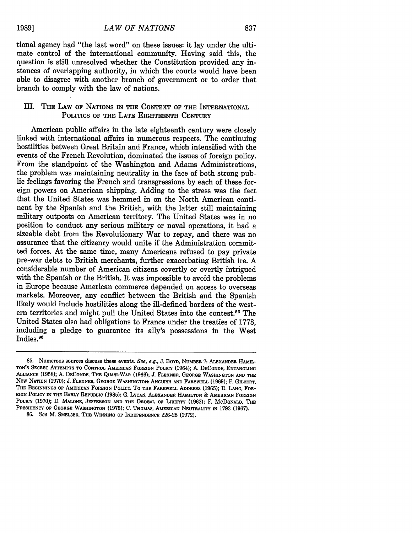**1989]**

tional agency had "the last word" on these issues: it lay under the ultimate control of the international community. Having said this, the question is still unresolved whether the Constitution provided any instances of overlapping authority, in which the courts would have been able to disagree with another branch of government or to order that branch to comply with the law of nations.

#### III. **THE** LAW **OF NATIONS IN THE CONTEXT OF THE** INTERNATIONAL **POLITICS OF** THE LATE **EIGHTEENTH CENTURY**

American public affairs in the late eighteenth century were closely linked with international affairs in numerous respects. The continuing hostilities between Great Britain and France, which intensified with the events of the French Revolution, dominated the issues of foreign policy. From the standpoint of the Washington and Adams Administrations, the problem was maintaining neutrality in the face of both strong public feelings favoring the French and transgressions by each of these foreign powers on American shipping. Adding to the stress was the fact that the United States was hemmed in on the North American continent by the Spanish and the British, with the latter still maintaining military outposts on American territory. The United States was in no position to conduct any serious military or naval operations, it had a sizeable debt from the Revolutionary War to repay, and there was no assurance that the citizenry would unite if the Administration committed forces. At the same time, many Americans refused to pay private pre-war debts to British merchants, further exacerbating British ire. A considerable number of American citizens covertly or overtly intrigued with the Spanish or the British. It was impossible to avoid the problems in Europe because American commerce depended on access to overseas markets. Moreover, any conflict between the British and the Spanish likely would include hostilities along the ill-defined borders of the western territories and might pull the United States into the contest.<sup>85</sup> The United States also had obligations to France under the treaties of 1778, including a pledge to guarantee its ally's possessions in the West Indies.<sup>86</sup>

<sup>85.</sup> Numerous sources discuss these events. See, e.g., J. **BOYD, NUMBER 7: ALEXANDER HAMm-TON'S SECRET** ATTEMPTS TO **CONTROL** AMERICAN FOREIGN **POLICY** (1964); A. **DECONDE, ENTANGLING ALLIANCE (1958);** A. **DECONDE,** THE **QUASI-WAR (1966); J. FLEXNER, GEORGE WASHINGTON AND THE** NEW NATION **(1970); J. FLEXNER, GEORGE** WASHINGTON: **ANGUISH AND** FAREWELL (1969); F. GILBERT, **THE BEGINNINGS OF AMERICAN** FOREIGN **POLICY:** To **THE FAREWELL ADDRESS** (1965); **D. LANG, FOR-EIGN POLICY IN THE EARLY REPUBLIC (1985); G. LYCAN, ALEXANDER HAMILTON & AMERICAN FOREIGN** POLICY **(1970);** D. MALONE, **JEFFERSON AND THE ORDEAL OF LIBERTY (1962);** F. McDONALD, **THE PRESIDENCY OF GEORGE WASHINGTON (1975); C. THOMAS, AMERICAN** NEUTRALITY **IN 1793 (1967).**

**<sup>86.</sup>** See **M.** SMELSER, **THE WINNING** OF **INDEPENDENCE 226-28 (1972).**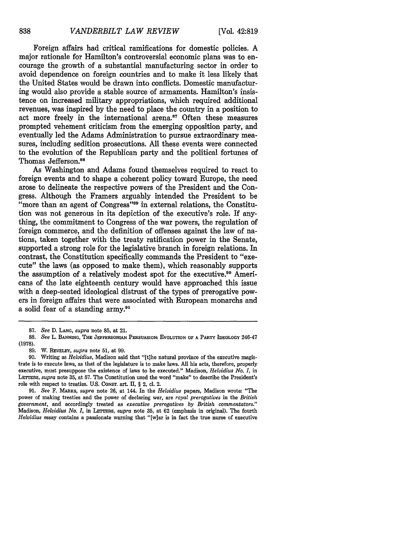Foreign affairs had critical ramifications for domestic policies. A major rationale for Hamilton's controversial economic plans was to encourage the growth of a substantial manufacturing sector in order to avoid dependence on foreign countries and to make it less likely that the United States would be drawn into conflicts. Domestic manufacturing would also provide a stable source of armaments. Hamilton's insistence on increased military appropriations, which required additional revenues, was inspired by the need to place the country in a position to act more freely in the international arena.<sup>87</sup> Often these measures prompted vehement criticism from the emerging opposition party, and eventually led the Adams Administration to pursue extraordinary measures, including sedition prosecutions. All these events were connected to the evolution of the Republican party and the political fortunes of Thomas Jefferson.<sup>88</sup>

As Washington and Adams found themselves required to react to foreign events and to shape a coherent policy toward Europe, the need arose to delineate the respective powers of the President and the Congress. Although the Framers arguably intended the President to be "more than an agent of Congress"<sup>89</sup> in external relations, the Constitution was not generous in its depiction of the executive's role. If anything, the commitment to Congress of the war powers, the regulation of foreign commerce, and the definition of offenses against the law of nations, taken together with the treaty ratification power in the Senate, supported a strong role for the legislative branch in foreign relations. In contrast, the Constitution specifically commands the President to "execute" the laws (as opposed to make them), which reasonably supports the assumption of a relatively modest spot for the executive.<sup>90</sup> Americans of the late eighteenth century would have approached this issue with a deep-seated ideological distrust of the types of prerogative powers in foreign affairs that were associated with European monarchs and a solid fear of a standing army.<sup>91</sup>

<sup>87.</sup> *See* D. **LANG,** *supra* note 85, at 21.

**<sup>88.</sup>** *See* L. **BANNING, THE JEFFERSONIAN PERSUASION: EVOLUTION OF A PARTY IDEOLOGY** 246-47 **(1978).**

**<sup>89.</sup>** W. **REVELEY,** *supra* note **51,** at **99.**

**<sup>90.</sup>** Writing as *Helvidius,* Madison said that "[t]he natural province of the executive magistrate is to execute laws, as that of the legislature is to make laws. **All** his acts, therefore, properly executive, must presuppose the existence of laws to be executed." Madison, *Helvidius No. I,* in LarrsRs, *supra* note **35,** at **57.** The Constitution used the word "make" to describe the President's role with respect to treaties. U.S. **CONST.** art. II, § 2, cl. 2.

**<sup>91.</sup>** *See* **F. MARKS,** *supra* note **26,** at 144. In the *Helvidius* papers, Madison wrote: "The power of making treaties and the power of declaring war, are *royal prerogatives* in the *British government,* and accordingly treated as *executive prerogatives by British commentators."* Madison, *Helvidius No.* I, in LETTERS, *supra* note **35,** at 62 (emphasis in original). The fourth *Helvidius* essay contains a passionate warning that "[w]ar is in fact the true nurse of executive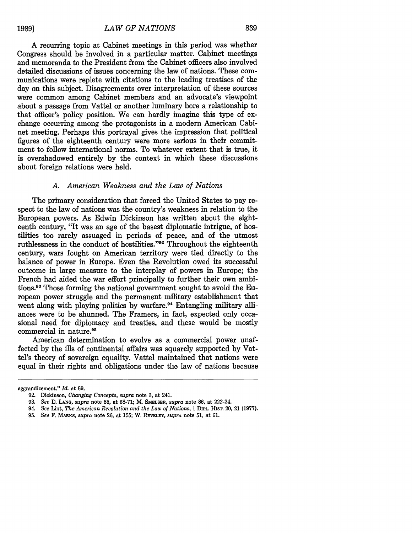**1989]**

A recurring topic at Cabinet meetings in this period was whether Congress should be involved in a particular matter. Cabinet meetings and memoranda to the President from the Cabinet officers also involved detailed discussions of issues concerning the law of nations. These communications were replete with citations to the leading treatises of the day on this subject. Disagreements over interpretation of these sources were common among Cabinet members and an advocate's viewpoint about a passage from Vattel or another luminary bore a relationship to that officer's policy position. We can hardly imagine this type of exchange occurring among the protagonists in a modern American Cabinet meeting. Perhaps this portrayal gives the impression that political figures of the eighteenth century were more serious in their commitment to follow international norms. To whatever extent that is true, it is overshadowed entirely by the context in which these discussions about foreign relations were held.

#### *A. American Weakness and the Law of Nations*

The primary consideration that forced the United States to pay respect to the law of nations was the country's weakness in relation to the European powers. As Edwin Dickinson has written about the eighteenth century, "It was an age of the basest diplomatic intrigue, of hostilities too rarely assuaged in periods of peace, and of the utmost ruthlessness in the conduct of hostilities."<sup>92</sup> Throughout the eighteenth century, wars fought on American territory were tied directly to the balance of power in Europe. Even the Revolution owed its successful outcome in large measure to the interplay of powers in Europe; the French had aided the war effort principally to further their own ambitions.<sup>93</sup> Those forming the national government sought to avoid the European power struggle and the permanent military establishment that went along with playing politics by warfare.<sup>94</sup> Entangling military alliances were to be shunned. The Framers, in fact, expected only occasional need for diplomacy and treaties, and these would be mostly commercial in nature.<sup>95</sup>

American determination to evolve as a commercial power unaffected by the ills of continental affairs was squarely supported by Vattel's theory of sovereign equality. Vattel maintained that nations were equal in their rights and obligations under the law of nations because

aggrandizement." *Id.* at **89.**

**<sup>92.</sup>** Dickinson, *Changing Concepts, supra* **note 3,** at 241.

**<sup>93.</sup>** *See* **D. LANG,** *supra* **note 85,** at **68-71;** M. **SMELSER,** *supra* note **86,** at 222-24.

<sup>94.</sup> *See Lint, The American Revolution and the Law of Nations, 1 DIPL. HIST. 20, 21 (1977).* 

**<sup>95.</sup>** *See* F. MARKS, *supra* note **26,** at 155; W. **REVELRY,** *supra* note **51,** at **61.**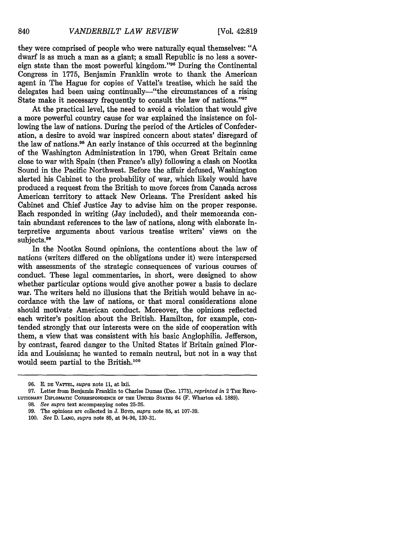they were comprised of people who were naturally equal themselves: "A dwarf is as much a man as a giant; a small Republic is no less a sovereign state than the most powerful kingdom."<sup>96</sup> During the Continental Congress in 1775, Benjamin Franklin wrote to thank the American agent in The Hague for copies of Vattel's treatise, which he said the delegates had been using continually—"the circumstances of a rising State make it necessary frequently to consult the law of nations."<sup>97</sup>

At the practical level, the need to avoid a violation that would give a more powerful country cause for war explained the insistence on following the law of nations. During the period of the Articles of Confederation, a desire to avoid war inspired concern about states' disregard of the law of nations.98 An early instance of this occurred at the beginning of the Washington Administration in 1790, when Great Britain came close to war with Spain (then France's ally) following a clash on Nootka Sound in the Pacific Northwest. Before the affair defused, Washington alerted his Cabinet to the probability of war, which likely would have produced a request from the British to move forces from Canada across American territory to attack New Orleans. The President asked his Cabinet and Chief Justice Jay to advise him on the proper response. Each responded in writing (Jay included), and their memoranda contain abundant references to the law of nations, along with elaborate interpretive arguments about various treatise writers' views on the subjects.<sup>99</sup>

In the Nootka Sound opinions, the contentions about the law of nations (writers differed on the obligations under it) were interspersed with assessments of the strategic consequences of various courses of conduct. These legal commentaries, in short, were designed to show whether particular options would give another power a basis to declare war. The writers held no illusions that the British would behave in accordance with the law of nations, or that moral considerations alone should motivate American conduct. Moreover, the opinions reflected each writer's position about the British. Hamilton, for example, contended strongly that our interests were on the side of cooperation with them, a view that was consistent with his basic Anglophilia. Jefferson, by contrast, feared danger to the United States if Britain gained Florida and Louisiana; he wanted to remain neutral, but not in a way that would seem partial to the British.<sup>100</sup>

<sup>96.</sup> **E. DE VATTEL,** *supra* note 11, at lxii.

<sup>97.</sup> Letter from Benjamin Franklin to Charles Dumas (Dec. 1775), *reprinted in* 2 **THE** REvo-**LUTIONARY DIPLOMATIC CORRESPONDENCE OF THE UNITED** STATES 64 (F. Wharton ed. **1889).**

**<sup>98.</sup>** *See supra* text **accompanying notes 25-26.**

**<sup>99.</sup>** The **opinions are collected in J. BOYD,** *supra* **note 85, at 107-39.**

*<sup>100.</sup> See* **D. LANG,** *supra* **note 85, at** 94-96, **130-31.**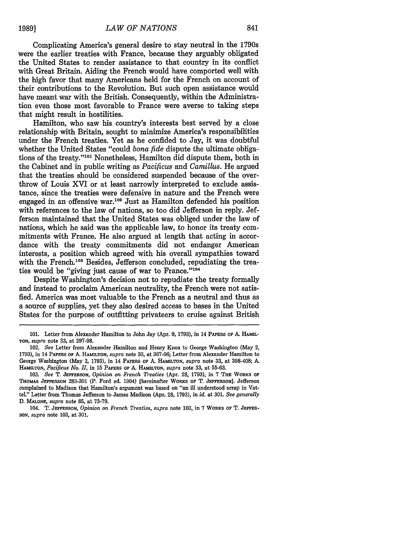Complicating America's general desire to stay neutral in the 1790s were the earlier treaties with France, because they arguably obligated the United States to render assistance to that country in its conflict with Great Britain. Aiding the French would have comported well with the high favor that many Americans held for the French on account of their contributions to the Revolution. But such open assistance would have meant war with the British. Consequently, within the Administration even those most favorable to France were averse to taking steps that might result in hostilities.

Hamilton, who saw his country's interests best served by a close relationship with Britain, sought to minimize America's responsibilities under the French treaties. Yet as he confided to Jay, it was doubtful whether the United States "could *bona fide* dispute the ultimate obligations of the treaty."'01 Nonetheless, Hamilton did dispute them, both in the Cabinet and in public writing as *Pacificus and Camillus.* He argued that the treaties should be considered suspended because of the overthrow of Louis XVI or at least narrowly interpreted to exclude assistance, since the treaties were defensive in nature and the French were engaged in an offensive war.<sup>102</sup> Just as Hamilton defended his position with references to the law of nations, so too did Jefferson in reply. Jefferson maintained that the United States was obliged under the law of nations, which he said was the applicable law, to honor its treaty commitments with France. He also argued at length that acting in accordance with the treaty commitments did not endanger American interests, a position which agreed with his overall sympathies toward with the French.<sup>103</sup> Besides, Jefferson concluded, repudiating the treaties would be "giving just cause of war to France."<sup>104</sup>

Despite Washington's decision not to repudiate the treaty formally and instead to proclaim American neutrality, the French were not satisfied. America was most valuable to the French as a neutral and thus as a source of supplies, yet they also desired access to bases in the United States for the purpose of outfitting privateers to cruise against British

<sup>101.</sup> Letter from Alexander Hamilton to John Jay (Apr. 9, **1793),** in 14 **PAPERS OF A. HAMIL-***TON, supra* note **33,** at 297-98.

<sup>102.</sup> *See* Letter from Alexander Hamilton and Henry Knox to George Washington (May 2, 1793), in 14 PAPERS OF **A- HAMILTON,** *supra* note **33,** at 367-96; Letter from Alexander Hamilton to George Washington (May 2, 1793), in 14 **PAPERS OF** A. **HAMILTON,** *supra* note 33, at 398-408; A. **HAMILTON,** *Pacificus No. II,* in 15 PAPERS OF A. HAMILTON, *supra* note 33, at 55-63.

<sup>103.</sup> *See* T. **JEFFERSON,** *Opinion on French Treaties* (Apr. 28, 1793), in 7 **THE WORKS OF THOMAS JEFFERSON** 283-301 (P. Ford ed. 1904) [hereinafter **WORKS OF** T. **JEFFERSON].** Jefferson complained to Madison that Hamilton's argument was based on "an ill understood scrap in Vattel." Letter from Thomas Jefferson to James Madison (Apr. 28, 1793), in *id.* at 301. *See generally* **D.** *MALONE, supra* note **85,** at 73-79.

<sup>104.</sup> T. **JEFFERSON,** *Opinion on French Treaties, supra* note 103, in 7 **WORKS** OF T. **JEFFER-SON,** *supra* note 103, at 301.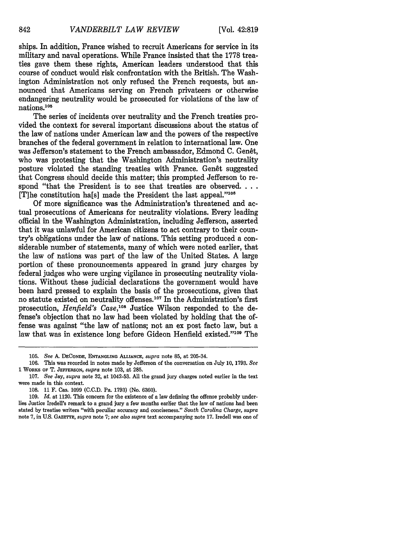ships. In addition, France wished to recruit Americans for service in its military and naval operations. While France insisted that the 1778 treaties gave them these rights, American leaders understood that this course of conduct would risk confrontation with the British. The Washington Administration not only refused the French requests, but announced that Americans serving on French privateers or otherwise endangering neutrality would be prosecuted for violations of the law of nations.105

The series of incidents over neutrality and the French treaties provided the context for several important discussions about the status of the law of nations under American law and the powers of the respective branches of the federal government in relation to international law. One was Jefferson's statement to the French ambassador, Edmond C. Genet, who was protesting that the Washington Administration's neutrality posture violated the standing treaties with France. Genêt suggested that Congress should decide this matter; this prompted Jefferson to respond "that the President is to see that treaties are observed.... [T]he constitution ha[s] made the President the last appeal."106

**Of** more significance was the Administration's threatened and actual prosecutions of Americans for neutrality violations. Every leading official in the Washington Administration, including Jefferson, asserted that it was unlawful for American citizens to act contrary to their country's obligations under the law of nations. This setting produced a considerable number of statements, many of which were noted earlier, that the law of nations was part of the law of the United States. A large portion of these pronouncements appeared in grand jury charges **by** federal judges who were urging vigilance in prosecuting neutrality violations. Without these judicial declarations the government would have been hard pressed to explain the basis of the prosecutions, given that no statute existed on neutrality offenses. 07 In the Administration's first prosecution, *Henfield's Case,10°* Justice Wilson responded to the defense's objection that no law had been violated **by** holding that the offense was against "the law of nations; not an ex post facto law, but a law that was in existence long before Gideon Henfield existed."109 The

**<sup>105.</sup>** *See* **A. DECoNDE, ENTANGLING ALLIANCE,** *supra* note **85,** at 205-34.

**<sup>106.</sup>** This was recorded in notes made **by** Jefferson of the conversation on **July 10, 1793.** *See* **1** WORKS **OF** T. **JEFFERSON,** *supra* note **103,** at **285.**

**<sup>107.</sup>** *See* Jay, *supra* note **32,** at 1042-53. **All** the grand jury charges noted earlier in the text were made in this context.

**<sup>108. 11</sup>** F. Cas. **1099 (C.C.D.** Pa. **1793)** (No. **6360).**

**<sup>109.</sup>** *Id.* at 1120. This concern for the existence of a law defining the offense probably underlies Justice Iredell's remark to a grand jury a few months earlier that the law of nations had been stated **by** treatise writers "with peculiar accuracy and conciseness." *South Carolina Charge, supra* note **7,** in **U.S.** GAZETTE, *supra* note **7;** *see also supra* text accompanying note **17.** Iredell was one of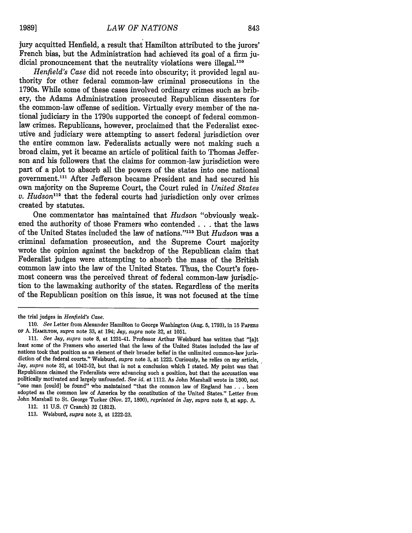jury acquitted Henfield, a result that Hamilton attributed to the jurors' French bias, but the Administration had achieved its goal of a firm judicial pronouncement that the neutrality violations were illegal.<sup>110</sup>

*Henfield's Case* did not recede into obscurity; it provided legal authority for other federal common-law criminal prosecutions in the 1790s. While some of these cases involved ordinary crimes such as bribery, the Adams Administration prosecuted Republican dissenters for the common-law offense of sedition. Virtually every member of the national judiciary in the 1790s supported the concept of federal commonlaw crimes. Republicans, however, proclaimed that the Federalist executive and judiciary were attempting to assert federal jurisdiction over the entire common law. Federalists actually were not making such a broad claim, yet it became an article of political faith to Thomas Jefferson and his followers that the claims for common-law jurisdiction were part of a plot to absorb all the powers of the states into one national government."' After Jefferson became President and had secured his own majority on the Supreme Court, the Court ruled in *United States v. Hudson*<sup>112</sup> that the federal courts had jurisdiction only over crimes created by statutes.

One commentator has maintained that *Hudson* "obviously weakened the authority of those Framers who contended **. . .** that the laws of the United States included the law of nations." 13 But *Hudson* was a criminal defamation prosecution, and the Supreme Court majority wrote the opinion against the backdrop of the Republican claim that Federalist judges were attempting to absorb the mass of the British common law into the law of the United States. Thus, the Court's foremost concern was the perceived threat of federal common-law jurisdiction to the lawmaking authority of the states. Regardless of the merits of the Republican position on this issue, it was not focused at the time

the trial judges in *Henfield's Case.*

<sup>110.</sup> *See* Letter from Alexander Hamilton to George Washington (Aug. 5, 1793), in 15 **PAPERS OF** A. **HAMILTON,** *supra* note 33, at 194; Jay, *supra* note 32, at 1051.

<sup>111.</sup> *See* Jay, *supra* note 8, at 1231-41. Professor Arthur Weisburd has written that "[a]t least some of the Framers who asserted that the laws of the United States included the law of nations took that position as an element of their broader belief in the unlimited common-law juris- diction of the federal courts." Weisburd, *supra* note 3, at 1222. Curiously, he relies on my article, Jay, *supra* note **32,** at 1042-52, but that is not a conclusion which I stated. My point was that Republicans claimed the Federalists were advancing such a position, but that the accusation was politically motivated and largely unfounded. *See id.* at 1112. As John Marshall wrote in 1800, not 'one man [could] be found" who maintained "that the common law of England has . **.** . been adopted as the common law of America by the constitution of the United States." Letter from John Marshall to St. George Tucker (Nov. 27, 1800), *reprinted in* Jay, *supra* note 8, at app. A.

<sup>112. 11</sup> U.S. (7 Cranch) 32 (1812).

<sup>113.</sup> Weisburd, *supra* note 3, at 1222-23.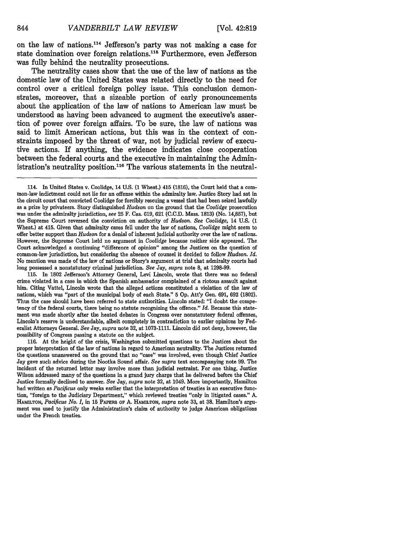on the law of nations.<sup>114</sup> Jefferson's party was not making a case for state domination over foreign relations.<sup>115</sup> Furthermore, even Jefferson was fully behind the neutrality prosecutions.

The neutrality cases show that the use of the law of nations as the domestic law of the United States was related directly to the need for control over a critical foreign policy issue. This conclusion demonstrates, moreover, that a sizeable portion of early pronouncements about the application of the law of nations to American law must be understood as having been advanced to augment the executive's assertion of power over foreign affairs. To be sure, the law of nations was said to limit American actions, but this was in the context of constraints imposed by the threat of war, not by judicial review of executive actions. If anything, the evidence indicates close cooperation between the federal courts and the executive in maintaining the Administration's neutrality position.<sup>116</sup> The various statements in the neutral-

**115.** In **1802** Jefferson's Attorney General, Levi Lincoln, wrote that there was no federal crime violated in a case in which the Spanish ambassador complained of a riotous assault against him. Citing Vattel, Lincoln wrote that the alleged actions constituted a violation of the law of nations, which was "part of the municipal body of each State." **5 Op.** Att'y Gen. **691, 692 (1802).** Thus the case should have been referred to state authorities. Lincoln stated: "I doubt the competency of the federal courts, there being no statute recognizing the offence." *Id.* Because this statement was made shortly after the heated debates in Congress over nonstatutory federal offenses, Lincoln's reserve is understandable, albeit completely in contradiction to earlier opinions **by** Federalist Attorneys General. *See* Jay, *supra* note **32,** at **1073-1111.** Lincoln did not deny, however, the possibility of Congress passing a statute on the subject.

**116.** At the height of the crisis, Washington submitted questions to the Justices about the proper interpretation of the law of nations in regard to American neutrality. The Justices returned the questions unanswered on the ground that no "case" was involved, even though Chief Justice Jay gave such advice during the Nootka Sound affair. *See supra* text accompanying note **99.** The incident of the returned letter may involve more than judicial restraint. For one thing, Justice Wilson addressed many of the questions in a grand jury charge that he delivered before the Chief Justice formally declined to answer. *See* Jay, *supra* note **32,** at 1049. More importantly, Hamilton had written as *Pacificus* only weeks earlier that the interpretation of treaties is an executive function, "foreign to the Judiciary Department," which reviewed treaties "only in litigated cases." **A. HAMILTON,** *Pacificus No. I,* in **15 PAPERs OF A. HAMILTON,** *supra* note **33,** at **38.** Hamilton's argument was used to justify the Administration's claim of authority to judge American obligations under the French treaties.

<sup>114.</sup> In United States v. Coolidge, 14 U.S. (1 Wheat.) 415 (1816), the Court held that a common-law indictment could not **lie** for an offense within the admiralty law. Justice Story had sat in the circuit court that convicted Coolidge for forcibly rescuing a vessel that had been seized lawfully as a prize **by** privateers. Story distinguished *Hudson* on the ground that the *Coolidge* prosecution was under the admiralty jurisdiction, *see* **25** F. Cas. **619, 621 (C.C.D.** Mass. **1813)** (No. **14,857),** but the Supreme Court reversed the conviction on authority of *Hudson. See Coolidge,* 14 **U.S. (1** Wheat.) at 415. Given that admiralty cases fell under the law of nations, *Coolidge* might seem to offer better support than *Hudson* for a denial of inherent judicial authority over the law of nations. However, the Supreme Court held no argument in *Coolidge* because neither side appeared. The Court acknowledged a continuing "difference of opinion" among the Justices on the question of common-law jurisdiction, but considering the absence of counsel it decided to follow *Hudson. Id.* No mention was made of the law of nations or Story's argument at trial that admiralty courts had long possessed a nonstatutory criminal jurisdiction. *See* Jay, *supra* note **8,** at **1298-99.**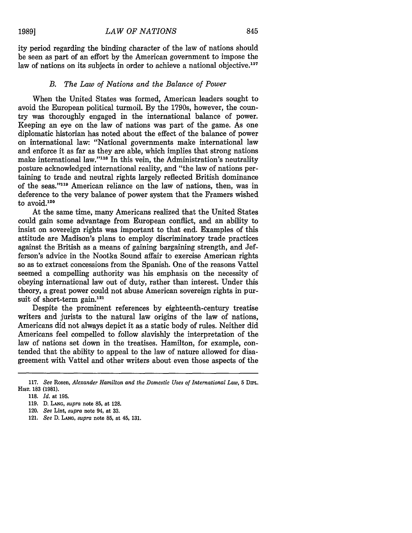ity period regarding the binding character of the law of nations should be seen as part of an effort by the American government to impose the law of nations on its subjects in order to achieve a national objective.<sup>117</sup>

#### *B. The Law of Nations and the Balance of Power*

When the United States was formed, American leaders sought to avoid the European political turmoil. By the 1790s, however, the country was thoroughly engaged in the international balance of power. Keeping an eye on the law of nations was part of the game. As one diplomatic historian has noted about the effect of the balance of power on international law: "National governments make international law and enforce it as far as they are able, which implies that strong nations make international law."<sup>118</sup> In this vein, the Administration's neutrality posture acknowledged international reality, and "the law of nations pertaining to trade and neutral rights largely reflected British dominance of the seas."<sup>119</sup> American reliance on the law of nations, then, was in deference to the very balance of power system that the Framers wished to avoid.120

At the same time, many Americans realized that the United States could gain some advantage from European conflict, and an ability to insist on sovereign rights was important to that end. Examples of this attitude are Madison's plans to employ discriminatory trade practices against the British as a means of gaining bargaining strength, and Jefferson's advice in the Nootka Sound affair to exercise American rights so as to extract concessions from the Spanish. One of the reasons Vattel seemed a compelling authority was his emphasis on the necessity of obeying international law out of duty, rather than interest. Under this theory, a great power could not abuse American sovereign rights in pursuit of short-term gain.<sup>121</sup>

Despite the prominent references by eighteenth-century treatise writers and jurists to the natural law origins of the law of nations, Americans did not always depict it as a static body of rules. Neither did Americans feel compelled to follow slavishly the interpretation of the law of nations set down in the treatises. Hamilton, for example, contended that the ability to appeal to the law of nature allowed for disagreement with Vattel and other writers about even those aspects of the

<sup>117.</sup> *See* Rosen, *Alexander Hamilton and the Domestic Uses of International Law,* 5 DnPL. HisT. **183** (1981).

**<sup>118.</sup>** *Id.* at **195.**

**<sup>119.</sup> D. LANo,** *supra* note **85,** at **128.**

<sup>120.</sup> *See* Lint, *supra* note 94, at **33.**

<sup>121.</sup> *See* **D. LANG,** *supra* note **85,** at 45, **131.**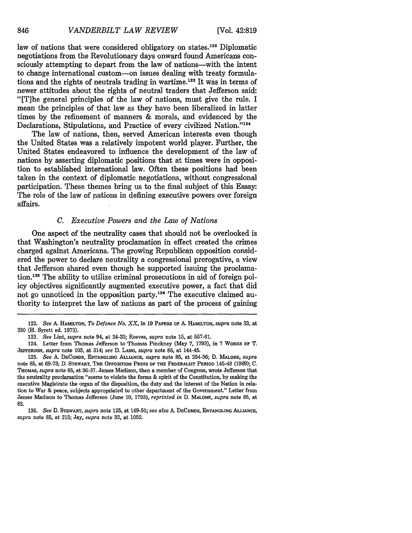law of nations that were considered obligatory on states.<sup>122</sup> Diplomatic negotiations from the Revolutionary days onward found Americans consciously attempting to depart from the law of nations-with the intent to change international custom-on issues dealing with treaty formulations and the rights of neutrals trading in wartime.<sup>123</sup> It was in terms of newer attitudes about the rights of neutral traders that Jefferson said: "[T]he general principles of the law of nations, must give the rule. I mean the principles of that law as they have been liberalized in latter times by the refinement of manners & morals, and evidenced by the Declarations, Stipulations, and Practice of every civilized Nation."124

The law of nations, then, served American interests even though the United States was a relatively impotent world player. Further, the United States endeavored to influence the development of the law of nations by asserting diplomatic positions that at times were in opposition to established international law. Often these positions had been taken in the context of diplomatic negotiations, without congressional participation. These themes bring us to the final subject of this Essay: The role of the law of nations in defining executive powers over foreign affairs.

#### *C. Executive Powers and the Law of Nations*

One aspect of the neutrality cases that should not be overlooked is that Washington's neutrality proclamation in effect created the crimes charged against Americans. The growing Republican opposition considered the power to declare neutrality a congressional prerogative, a view that Jefferson shared even though he supported issuing the proclamation.<sup>125</sup> The ability to utilize criminal prosecutions in aid of foreign policy objectives significantly augmented executive power, a fact that did not go unnoticed in the opposition party.<sup>126</sup> The executive claimed authority to interpret the law of nations as part of the process of gaining

<sup>122.</sup> *See* A. **HAMILTON,** *To Defence No. XX,* in 19 PAPERS OF A. HAMILTON, *supra* note 33, at 330 (H. Syrett ed. 1973).

<sup>123.</sup> *See* Lint, *supra* note 94, at 24-33; Reeves, *supra* note 15, at 557-61.

<sup>124.</sup> Letter from Thomas Jefferson to Thomas Pinckney (May 7, 1793), in 7 WORKS OF T. JEFFERSON, *supra* note 103, at 314; *see* D. **LANG,** *supra* note 85, at 144-45.

<sup>125.</sup> *See A.* DECONDE, ENTANGLING ALLIANCE, *supra* note 85, at 254-56; D. MALONE, *supra* note 85, at 69-73; **D.** STEWART, **THE OPPOSITION** PRESS OF THE FEDERALIST PERIOD 145-48 **(1969);** C. **THOMAS,** *supra* note **85,** at **36-37.** James Madison, then a member of Congress, wrote Jefferson that the neutrality proclamation "seems to violate the forms & spirit of the Constitution, **by** making the executive Magistrate the organ of the disposition, the duty and the interest of the Nation in relation to War **&** peace, subjects appropriated to other department of the Government." Letter from James Madison to Thomas Jefferson (June **10, 1793),** *reprinted in* **D.** MALONE, *supra* note **85,** at **82.**

**<sup>126.</sup>** *See* **D.** STEWART, *supra* note **125,** at 149-51; *see also* **A.** DECONDE, **ENTANGLING** ALLIANCE, *supra* note **85,** at **215;** Jay, *supra* note **32,** at **1052.**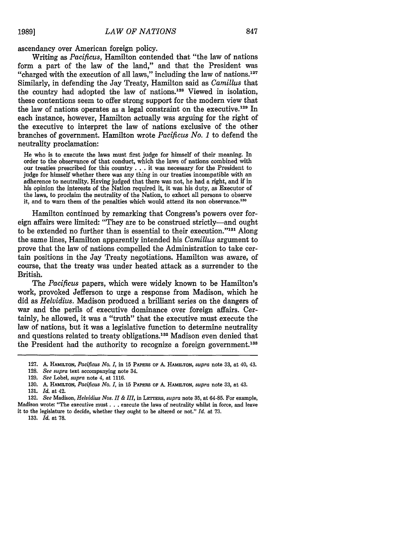ascendancy over American foreign policy.

Writing as *Pacificus,* Hamilton contended that "the law of nations form a part of the law of the land," and that the President was "charged with the execution of all laws," including the law of nations.<sup>127</sup> Similarly, in defending the Jay Treaty, Hamilton said as *Camillus* that the country had adopted the law of nations.128 Viewed in isolation, these contentions seem to offer strong support for the modern view that the law of nations operates as a legal constraint on the executive.<sup>129</sup> In each instance, however, Hamilton actually was arguing for the right of the executive to interpret the law of nations exclusive of the other branches of government. Hamilton wrote *Pacificus No. 1* to defend the neutrality proclamation:

He who is to execute the laws must first judge for himself of their meaning. In order to the observance of that conduct, which the laws of nations combined with our treaties prescribed for this country **. . .** it was necessary for the President to judge for himself whether there was any thing in our treaties incompatible with an adherence to neutrality. Having judged that there was not, he had a right, and if in his opinion the interests of the Nation required it, it was his duty, as Executor of the laws, to proclaim the neutrality of the Nation, to exhort all persons to observe it, and to warn them of the penalties which would attend its non observance.<sup>130</sup>

Hamilton continued by remarking that Congress's powers over foreign affairs were limited: "They are to be construed strictly-and ought to be extended no further than is essential to their execution."<sup>131</sup> Along the same lines, Hamilton apparently intended his *Camillus* argument to prove that the law of nations compelled the Administration to take certain positions in the Jay Treaty negotiations. Hamilton was aware, of course, that the treaty was under heated attack as a surrender to the British.

The *Pacificus* papers, which were widely known to be Hamilton's work, provoked Jefferson to urge a response from Madison, which he did as *Helvidius.* Madison produced a brilliant series on the dangers of war and the perils of executive dominance over foreign affairs. Certainly, he allowed, it was a "truth" that the executive must execute the law of nations, but it was a legislative function to determine neutrality and questions related to treaty obligations. 132 Madison even denied that the President had the authority to recognize a foreign government.<sup>133</sup>

it to the legislature to decide, whether they ought to be altered or not." *Id.* at 73.

133. *Id.* at 78.

**<sup>127.</sup>** A. **HAMILTON,** *Pacificus No. I,* in **15 PAPERS OF** *A-* **HAMILTON,** *supra* note 33, at 40, 43.

<sup>128.</sup> *See supra* text accompanying note 34.

<sup>129.</sup> *See* Lobel, *supra* note 4, at 1116.

<sup>130.</sup> A. HAMILTON, *Pacificus No. I,* in 15 PAPERS **OF** A. **HAMILTON,** *supra* note 33, at 43. 131. *Id.* at 42.

<sup>132.</sup> *See* Madison, *Helvidius Nos. I & III,* in **LETrERS,** *supra* note 35, at 64-85. For example, Madison wrote: "The executive must **...** execute the laws of neutrality whilst in force, and leave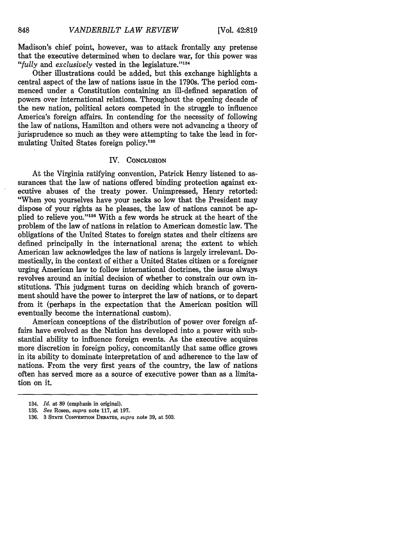Madison's chief point, however, was to attack frontally any pretense that the executive determined when to declare war, for this power was "*fully* and *exclusively* vested in the legislature."<sup>134</sup>

Other illustrations could be added, but this exchange highlights a central aspect of the law of nations issue in the 1790s. The period commenced under a Constitution containing an ill-defined separation of powers over international relations. Throughout the opening decade of the new nation, political actors competed in the struggle to influence America's foreign affairs. In contending for the necessity of following the law of nations, Hamilton and others were not advancing a theory of jurisprudence so much as they were attempting to take the lead in formulating United States foreign policy.<sup>135</sup>

#### IV. **CONCLUSION**

At the Virginia ratifying convention, Patrick Henry listened to assurances that the law of nations offered binding protection against executive abuses of the treaty power. Unimpressed, Henry retorted: "When you yourselves have your necks so low that the President may dispose of your rights as he pleases, the law of nations cannot be applied to relieve you."<sup>136</sup> With a few words he struck at the heart of the problem of the law of nations in relation to American domestic law. The obligations of the United States to foreign states and their citizens are defined principally in the international arena; the extent to which American law acknowledges the law of nations is largely irrelevant. Domestically, in the context of either a United States citizen or a foreigner urging American law to follow international doctrines, the issue always revolves around an initial decision of whether to constrain our own institutions. This judgment turns on deciding which branch of government should have the power to interpret the law of nations, or to depart from it (perhaps in the expectation that the American position will eventually become the international custom).

American conceptions of the distribution of power over foreign affairs have evolved as the Nation has developed into a power with substantial ability to influence foreign events. As the executive acquires more discretion in foreign policy, concomitantly that same office grows in its ability to dominate interpretation of and adherence to the law of nations. From the very first years of the country, the law of nations often has served more as a source of executive power than as a limitation on it.

<sup>134.</sup> *Id.* at **89** (emphasis in original).

<sup>135.</sup> *See* Rosen, *supra* note 117, at 197.

<sup>136. 3</sup> **STATE CONVENTION DEBATES,** *supra* note 39, at 503.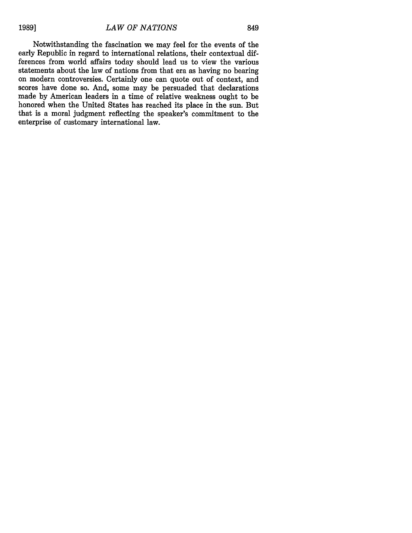Notwithstanding the fascination we may feel for the events of the early Republic in regard to international relations, their contextual differences from world affairs today should lead us to view the various statements about the law of nations from that era as having no bearing on modern controversies. Certainly one can quote out of context, and scores have done so. And, some may be persuaded that declarations made by American leaders in a time of relative weakness ought to be honored when the United States has reached its place in the sun. But that is a moral judgment reflecting the speaker's commitment to the enterprise of customary international law.